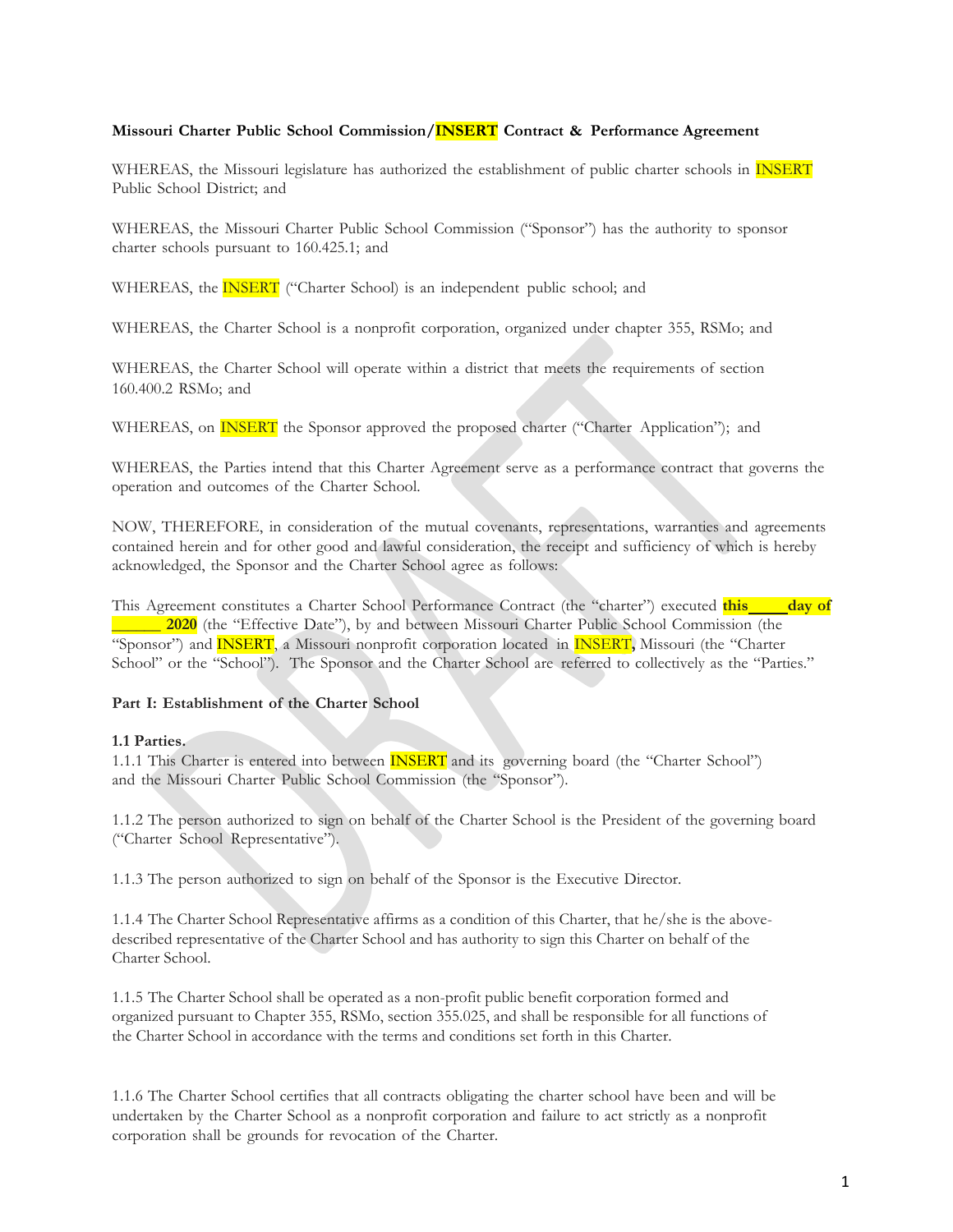# **Missouri Charter Public School Commission/INSERT Contract & Performance Agreement**

WHEREAS, the Missouri legislature has authorized the establishment of public charter schools in **INSERT** Public School District; and

WHEREAS, the Missouri Charter Public School Commission ("Sponsor") has the authority to sponsor charter schools pursuant to 160.425.1; and

WHEREAS, the **INSERT** ("Charter School) is an independent public school; and

WHEREAS, the Charter School is a nonprofit corporation, organized under chapter 355, RSMo; and

WHEREAS, the Charter School will operate within a district that meets the requirements of section 160.400.2 RSMo; and

WHEREAS, on **INSERT** the Sponsor approved the proposed charter ("Charter Application"); and

WHEREAS, the Parties intend that this Charter Agreement serve as a performance contract that governs the operation and outcomes of the Charter School.

NOW, THEREFORE, in consideration of the mutual covenants, representations, warranties and agreements contained herein and for other good and lawful consideration, the receipt and sufficiency of which is hereby acknowledged, the Sponsor and the Charter School agree as follows:

This Agreement constitutes a Charter School Performance Contract (the "charter") executed **this day of \_\_\_\_\_\_ 2020** (the "Effective Date"), by and between Missouri Charter Public School Commission (the "Sponsor") and INSERT, a Missouri nonprofit corporation located in INSERT**,** Missouri (the "Charter School" or the "School"). The Sponsor and the Charter School are referred to collectively as the "Parties."

### **Part I: Establishment of the Charter School**

#### **1.1 Parties.**

1.1.1 This Charter is entered into between **INSERT** and its governing board (the "Charter School") and the Missouri Charter Public School Commission (the "Sponsor").

1.1.2 The person authorized to sign on behalf of the Charter School is the President of the governing board ("Charter School Representative").

1.1.3 The person authorized to sign on behalf of the Sponsor is the Executive Director.

1.1.4 The Charter School Representative affirms as a condition of this Charter, that he/she is the abovedescribed representative of the Charter School and has authority to sign this Charter on behalf of the Charter School.

1.1.5 The Charter School shall be operated as a non-profit public benefit corporation formed and organized pursuant to Chapter 355, RSMo, section 355.025, and shall be responsible for all functions of the Charter School in accordance with the terms and conditions set forth in this Charter.

1.1.6 The Charter School certifies that all contracts obligating the charter school have been and will be undertaken by the Charter School as a nonprofit corporation and failure to act strictly as a nonprofit corporation shall be grounds for revocation of the Charter.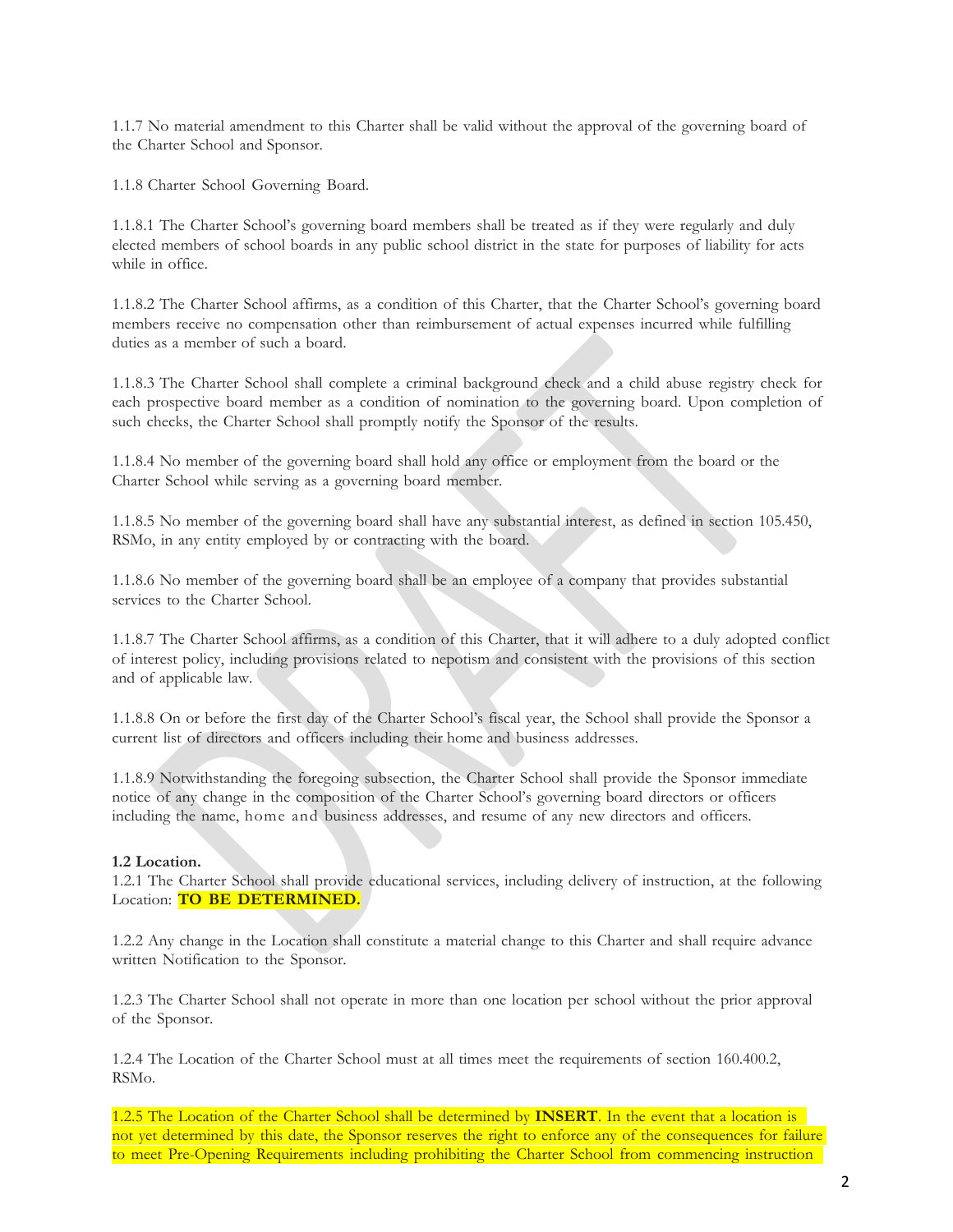1.1.7 No material amendment to this Charter shall be valid without the approval of the governing board of the Charter School and Sponsor.

1.1.8 Charter School Governing Board.

1.1.8.1 The Charter School's governing board members shall be treated as if they were regularly and duly elected members of school boards in any public school district in the state for purposes of liability for acts while in office.

1.1.8.2 The Charter School affirms, as a condition of this Charter, that the Charter School's governing board members receive no compensation other than reimbursement of actual expenses incurred while fulfilling duties as a member of such a board.

1.1.8.3 The Charter School shall complete a criminal background check and a child abuse registry check for each prospective board member as a condition of nomination to the governing board. Upon completion of such checks, the Charter School shall promptly notify the Sponsor of the results.

1.1.8.4 No member of the governing board shall hold any office or employment from the board or the Charter School while serving as a governing board member.

1.1.8.5 No member of the governing board shall have any substantial interest, as defined in section 105.450, RSMo, in any entity employed by or contracting with the board.

1.1.8.6 No member of the governing board shall be an employee of a company that provides substantial services to the Charter School.

1.1.8.7 The Charter School affirms, as a condition of this Charter, that it will adhere to a duly adopted conflict of interest policy, including provisions related to nepotism and consistent with the provisions of this section and of applicable law.

1.1.8.8 On or before the first day of the Charter School's fiscal year, the School shall provide the Sponsor a current list of directors and officers including their home and business addresses.

1.1.8.9 Notwithstanding the foregoing subsection, the Charter School shall provide the Sponsor immediate notice of any change in the composition of the Charter School's governing board directors or officers including the name, home and business addresses, and resume of any new directors and officers.

#### **1.2 Location.**

1.2.1 The Charter School shall provide educational services, including delivery of instruction, at the following Location: **TO BE DETERMINED.**

1.2.2 Any change in the Location shall constitute a material change to this Charter and shall require advance written Notification to the Sponsor.

1.2.3 The Charter School shall not operate in more than one location per school without the prior approval of the Sponsor.

1.2.4 The Location of the Charter School must at all times meet the requirements of section 160.400.2, RSMo.

1.2.5 The Location of the Charter School shall be determined by **INSERT**. In the event that a location is not yet determined by this date, the Sponsor reserves the right to enforce any of the consequences for failure to meet Pre-Opening Requirements including prohibiting the Charter School from commencing instruction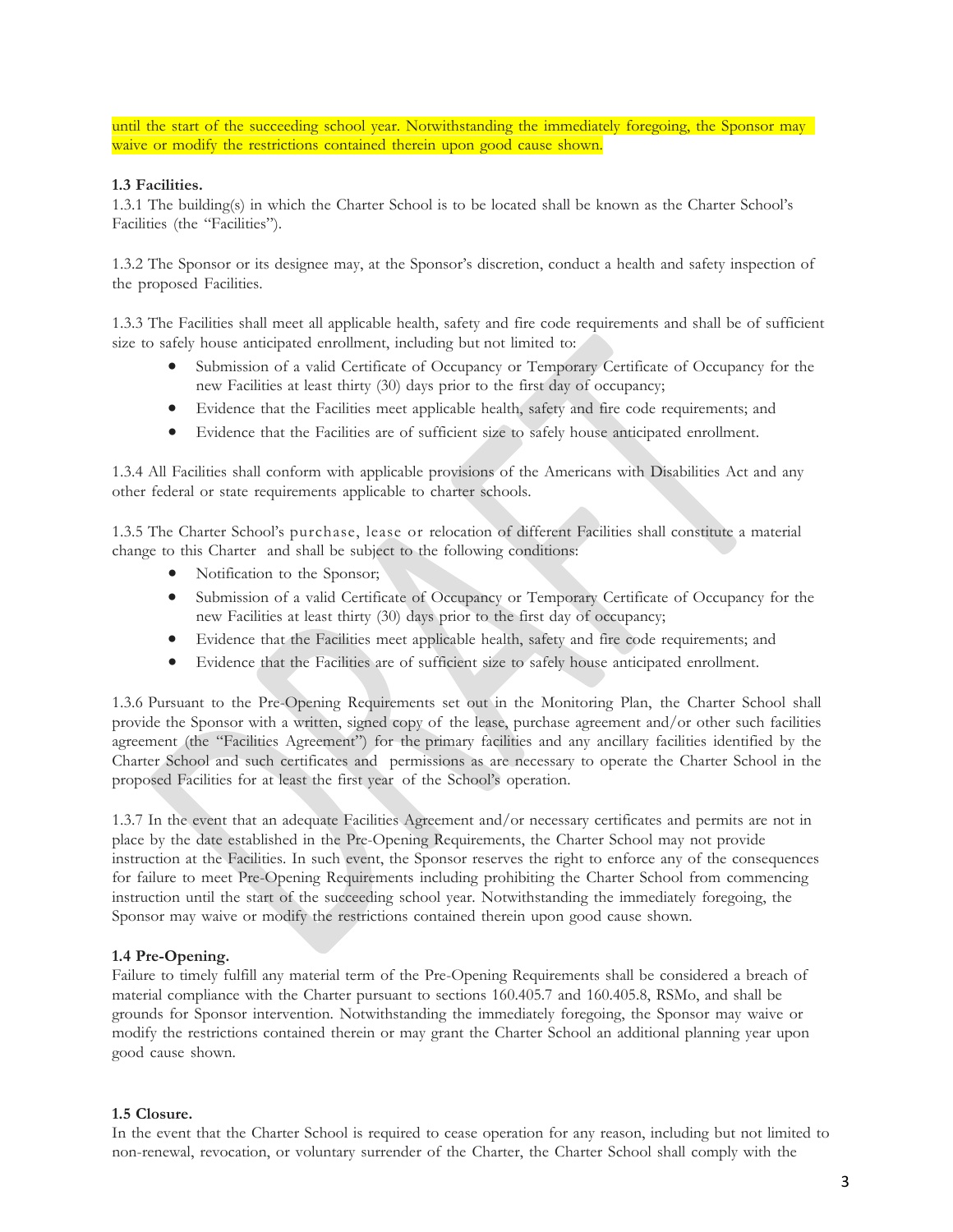until the start of the succeeding school year. Notwithstanding the immediately foregoing, the Sponsor may waive or modify the restrictions contained therein upon good cause shown.

### **1.3 Facilities.**

1.3.1 The building(s) in which the Charter School is to be located shall be known as the Charter School's Facilities (the "Facilities").

1.3.2 The Sponsor or its designee may, at the Sponsor's discretion, conduct a health and safety inspection of the proposed Facilities.

1.3.3 The Facilities shall meet all applicable health, safety and fire code requirements and shall be of sufficient size to safely house anticipated enrollment, including but not limited to:

- Submission of a valid Certificate of Occupancy or Temporary Certificate of Occupancy for the new Facilities at least thirty (30) days prior to the first day of occupancy;
- Evidence that the Facilities meet applicable health, safety and fire code requirements; and
- Evidence that the Facilities are of sufficient size to safely house anticipated enrollment.

1.3.4 All Facilities shall conform with applicable provisions of the Americans with Disabilities Act and any other federal or state requirements applicable to charter schools.

1.3.5 The Charter School's purchase, lease or relocation of different Facilities shall constitute a material change to this Charter and shall be subject to the following conditions:

- Notification to the Sponsor;
- Submission of a valid Certificate of Occupancy or Temporary Certificate of Occupancy for the new Facilities at least thirty (30) days prior to the first day of occupancy;
- Evidence that the Facilities meet applicable health, safety and fire code requirements; and
- Evidence that the Facilities are of sufficient size to safely house anticipated enrollment.

1.3.6 Pursuant to the Pre-Opening Requirements set out in the Monitoring Plan, the Charter School shall provide the Sponsor with a written, signed copy of the lease, purchase agreement and/or other such facilities agreement (the "Facilities Agreement") for the primary facilities and any ancillary facilities identified by the Charter School and such certificates and permissions as are necessary to operate the Charter School in the proposed Facilities for at least the first year of the School's operation.

1.3.7 In the event that an adequate Facilities Agreement and/or necessary certificates and permits are not in place by the date established in the Pre-Opening Requirements, the Charter School may not provide instruction at the Facilities. In such event, the Sponsor reserves the right to enforce any of the consequences for failure to meet Pre-Opening Requirements including prohibiting the Charter School from commencing instruction until the start of the succeeding school year. Notwithstanding the immediately foregoing, the Sponsor may waive or modify the restrictions contained therein upon good cause shown.

#### **1.4 Pre-Opening.**

Failure to timely fulfill any material term of the Pre-Opening Requirements shall be considered a breach of material compliance with the Charter pursuant to sections 160.405.7 and 160.405.8, RSMo, and shall be grounds for Sponsor intervention. Notwithstanding the immediately foregoing, the Sponsor may waive or modify the restrictions contained therein or may grant the Charter School an additional planning year upon good cause shown.

#### **1.5 Closure.**

In the event that the Charter School is required to cease operation for any reason, including but not limited to non-renewal, revocation, or voluntary surrender of the Charter, the Charter School shall comply with the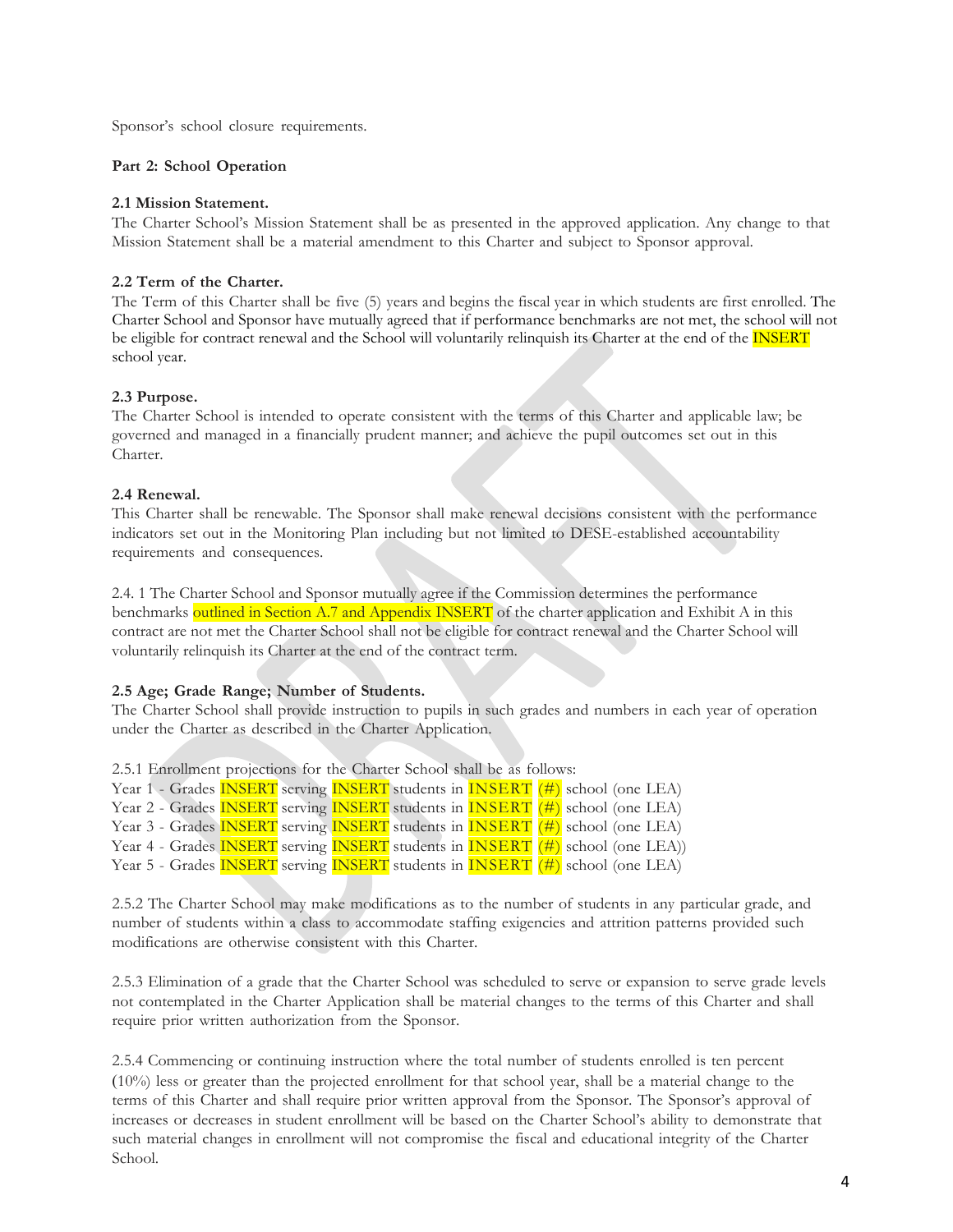Sponsor's school closure requirements.

# **Part 2: School Operation**

### **2.1 Mission Statement.**

The Charter School's Mission Statement shall be as presented in the approved application. Any change to that Mission Statement shall be a material amendment to this Charter and subject to Sponsor approval.

# **2.2 Term of the Charter.**

The Term of this Charter shall be five (5) years and begins the fiscal year in which students are first enrolled. The Charter School and Sponsor have mutually agreed that if performance benchmarks are not met, the school will not be eligible for contract renewal and the School will voluntarily relinquish its Charter at the end of the **INSERT** school year.

# **2.3 Purpose.**

The Charter School is intended to operate consistent with the terms of this Charter and applicable law; be governed and managed in a financially prudent manner; and achieve the pupil outcomes set out in this Charter.

# **2.4 Renewal.**

This Charter shall be renewable. The Sponsor shall make renewal decisions consistent with the performance indicators set out in the Monitoring Plan including but not limited to DESE-established accountability requirements and consequences.

2.4. 1 The Charter School and Sponsor mutually agree if the Commission determines the performance benchmarks outlined in Section A.7 and Appendix INSERT of the charter application and Exhibit A in this contract are not met the Charter School shall not be eligible for contract renewal and the Charter School will voluntarily relinquish its Charter at the end of the contract term.

# **2.5 Age; Grade Range; Number of Students.**

The Charter School shall provide instruction to pupils in such grades and numbers in each year of operation under the Charter as described in the Charter Application.

2.5.1 Enrollment projections for the Charter School shall be as follows: Year 1 - Grades **INSERT** serving **INSERT** students in **INSERT** (#) school (one LEA) Year 2 - Grades **INSERT** serving **INSERT** students in **INSERT** (#) school (one LEA) Year 3 - Grades **INSERT** serving **INSERT** students in **INSERT** (#) school (one LEA) Year 4 - Grades **INSERT** serving **INSERT** students in **INSERT** (#) school (one LEA)) Year 5 - Grades **INSERT** serving **INSERT** students in **INSERT** (#) school (one LEA)

2.5.2 The Charter School may make modifications as to the number of students in any particular grade, and number of students within a class to accommodate staffing exigencies and attrition patterns provided such modifications are otherwise consistent with this Charter.

2.5.3 Elimination of a grade that the Charter School was scheduled to serve or expansion to serve grade levels not contemplated in the Charter Application shall be material changes to the terms of this Charter and shall require prior written authorization from the Sponsor.

2.5.4 Commencing or continuing instruction where the total number of students enrolled is ten percent (10%) less or greater than the projected enrollment for that school year, shall be a material change to the terms of this Charter and shall require prior written approval from the Sponsor. The Sponsor's approval of increases or decreases in student enrollment will be based on the Charter School's ability to demonstrate that such material changes in enrollment will not compromise the fiscal and educational integrity of the Charter School.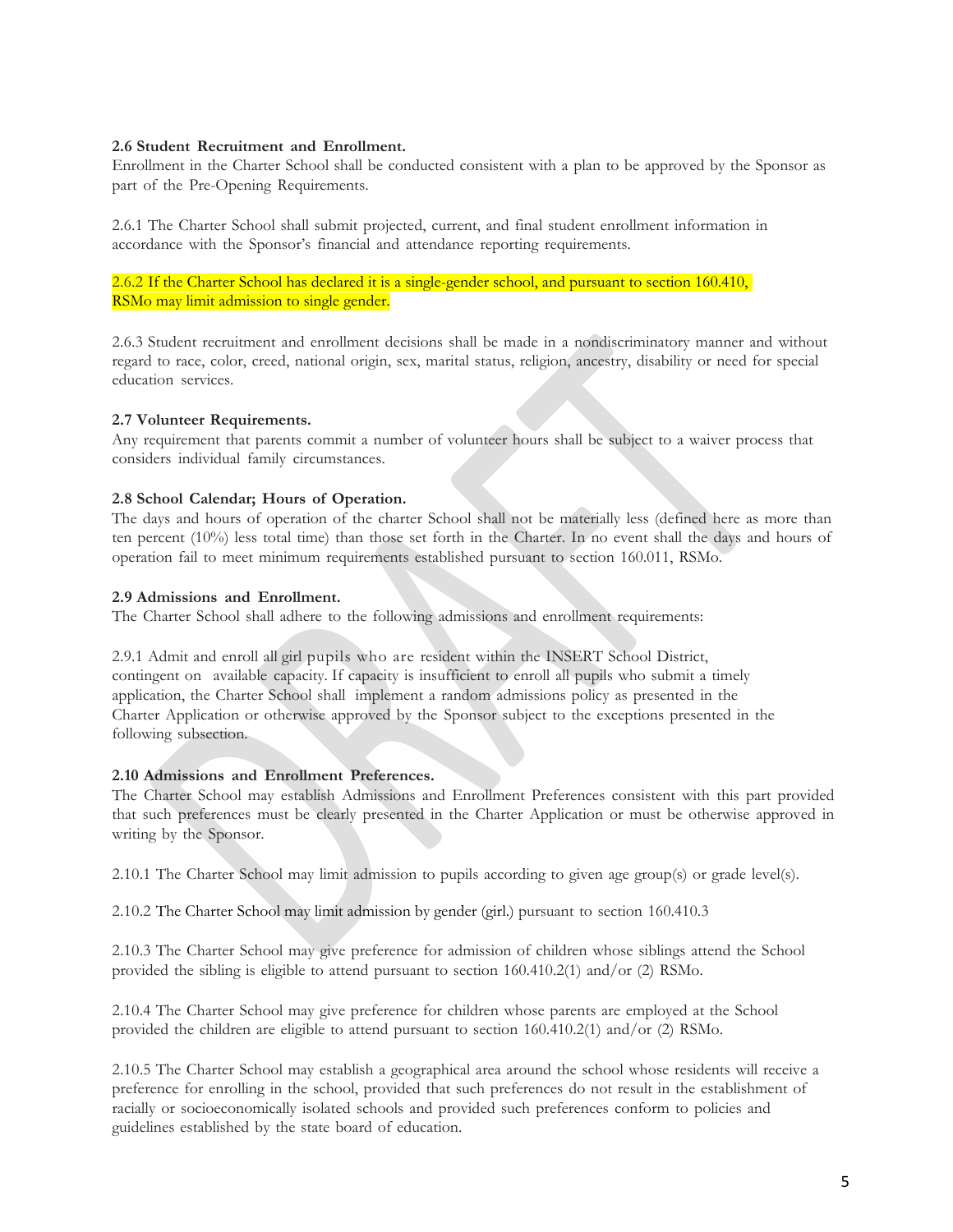# **2.6 Student Recruitment and Enrollment.**

Enrollment in the Charter School shall be conducted consistent with a plan to be approved by the Sponsor as part of the Pre-Opening Requirements.

2.6.1 The Charter School shall submit projected, current, and final student enrollment information in accordance with the Sponsor's financial and attendance reporting requirements.

2.6.2 If the Charter School has declared it is a single-gender school, and pursuant to section 160.410, RSMo may limit admission to single gender.

2.6.3 Student recruitment and enrollment decisions shall be made in a nondiscriminatory manner and without regard to race, color, creed, national origin, sex, marital status, religion, ancestry, disability or need for special education services.

# **2.7 Volunteer Requirements.**

Any requirement that parents commit a number of volunteer hours shall be subject to a waiver process that considers individual family circumstances.

# **2.8 School Calendar; Hours of Operation.**

The days and hours of operation of the charter School shall not be materially less (defined here as more than ten percent (10%) less total time) than those set forth in the Charter. In no event shall the days and hours of operation fail to meet minimum requirements established pursuant to section 160.011, RSMo.

# **2.9 Admissions and Enrollment.**

The Charter School shall adhere to the following admissions and enrollment requirements:

2.9.1 Admit and enroll all girl pupils who are resident within the INSERT School District, contingent on available capacity. If capacity is insufficient to enroll all pupils who submit a timely application, the Charter School shall implement a random admissions policy as presented in the Charter Application or otherwise approved by the Sponsor subject to the exceptions presented in the following subsection.

# **2.10 Admissions and Enrollment Preferences.**

The Charter School may establish Admissions and Enrollment Preferences consistent with this part provided that such preferences must be clearly presented in the Charter Application or must be otherwise approved in writing by the Sponsor.

2.10.1 The Charter School may limit admission to pupils according to given age group(s) or grade level(s).

2.10.2 The Charter School may limit admission by gender (girl.) pursuant to section 160.410.3

2.10.3 The Charter School may give preference for admission of children whose siblings attend the School provided the sibling is eligible to attend pursuant to section 160.410.2(1) and/or (2) RSMo.

2.10.4 The Charter School may give preference for children whose parents are employed at the School provided the children are eligible to attend pursuant to section 160.410.2(1) and/or (2) RSMo.

2.10.5 The Charter School may establish a geographical area around the school whose residents will receive a preference for enrolling in the school, provided that such preferences do not result in the establishment of racially or socioeconomically isolated schools and provided such preferences conform to policies and guidelines established by the state board of education.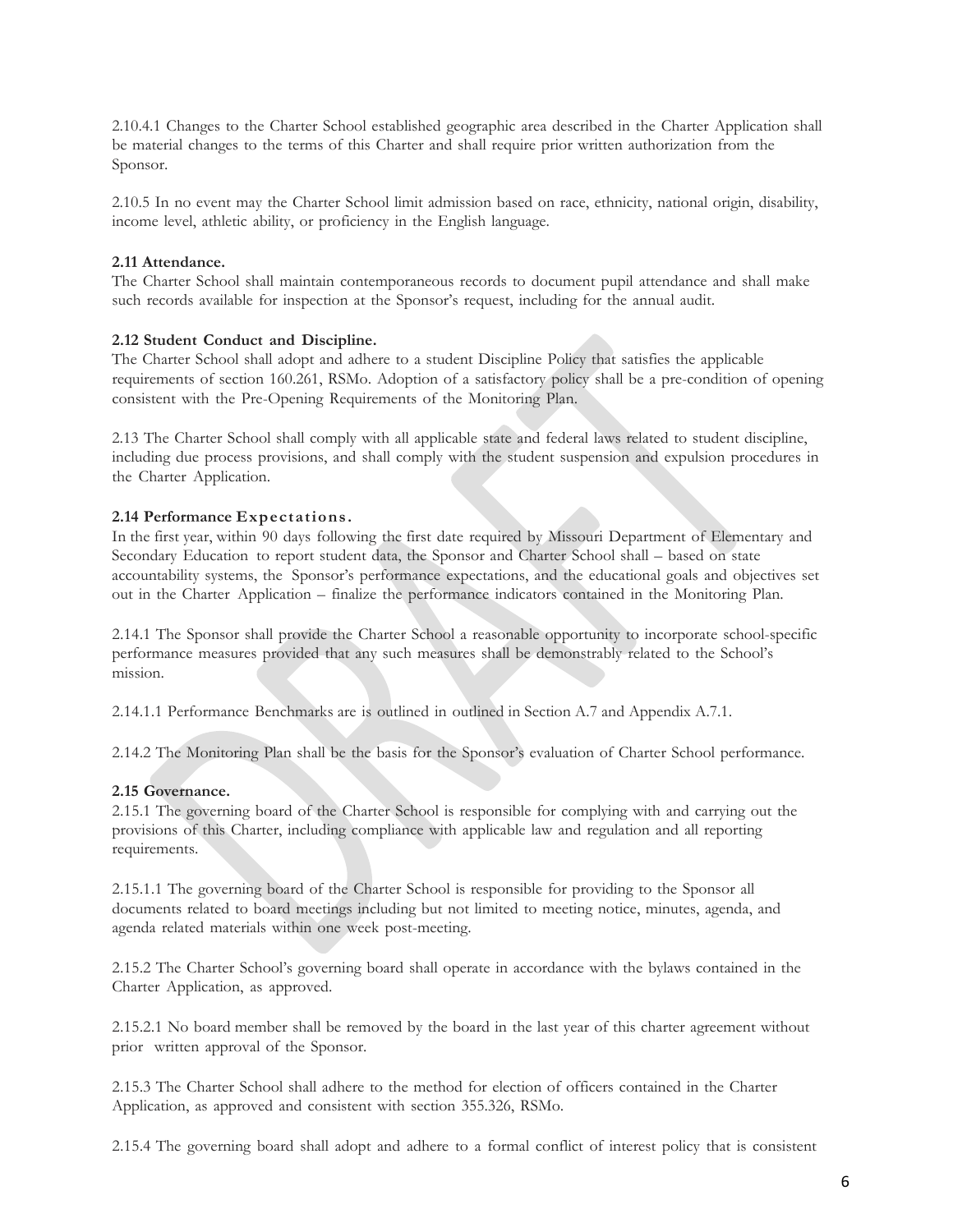2.10.4.1 Changes to the Charter School established geographic area described in the Charter Application shall be material changes to the terms of this Charter and shall require prior written authorization from the Sponsor.

2.10.5 In no event may the Charter School limit admission based on race, ethnicity, national origin, disability, income level, athletic ability, or proficiency in the English language.

### **2.11 Attendance.**

The Charter School shall maintain contemporaneous records to document pupil attendance and shall make such records available for inspection at the Sponsor's request, including for the annual audit.

### **2.12 Student Conduct and Discipline.**

The Charter School shall adopt and adhere to a student Discipline Policy that satisfies the applicable requirements of section 160.261, RSMo. Adoption of a satisfactory policy shall be a pre-condition of opening consistent with the Pre-Opening Requirements of the Monitoring Plan.

2.13 The Charter School shall comply with all applicable state and federal laws related to student discipline, including due process provisions, and shall comply with the student suspension and expulsion procedures in the Charter Application.

### **2.14 Performance Expectations.**

In the first year, within 90 days following the first date required by Missouri Department of Elementary and Secondary Education to report student data, the Sponsor and Charter School shall – based on state accountability systems, the Sponsor's performance expectations, and the educational goals and objectives set out in the Charter Application – finalize the performance indicators contained in the Monitoring Plan.

2.14.1 The Sponsor shall provide the Charter School a reasonable opportunity to incorporate school-specific performance measures provided that any such measures shall be demonstrably related to the School's mission.

2.14.1.1 Performance Benchmarks are is outlined in outlined in Section A.7 and Appendix A.7.1.

2.14.2 The Monitoring Plan shall be the basis for the Sponsor's evaluation of Charter School performance.

# **2.15 Governance.**

2.15.1 The governing board of the Charter School is responsible for complying with and carrying out the provisions of this Charter, including compliance with applicable law and regulation and all reporting requirements.

2.15.1.1 The governing board of the Charter School is responsible for providing to the Sponsor all documents related to board meetings including but not limited to meeting notice, minutes, agenda, and agenda related materials within one week post-meeting.

2.15.2 The Charter School's governing board shall operate in accordance with the bylaws contained in the Charter Application, as approved.

2.15.2.1 No board member shall be removed by the board in the last year of this charter agreement without prior written approval of the Sponsor.

2.15.3 The Charter School shall adhere to the method for election of officers contained in the Charter Application, as approved and consistent with section 355.326, RSMo.

2.15.4 The governing board shall adopt and adhere to a formal conflict of interest policy that is consistent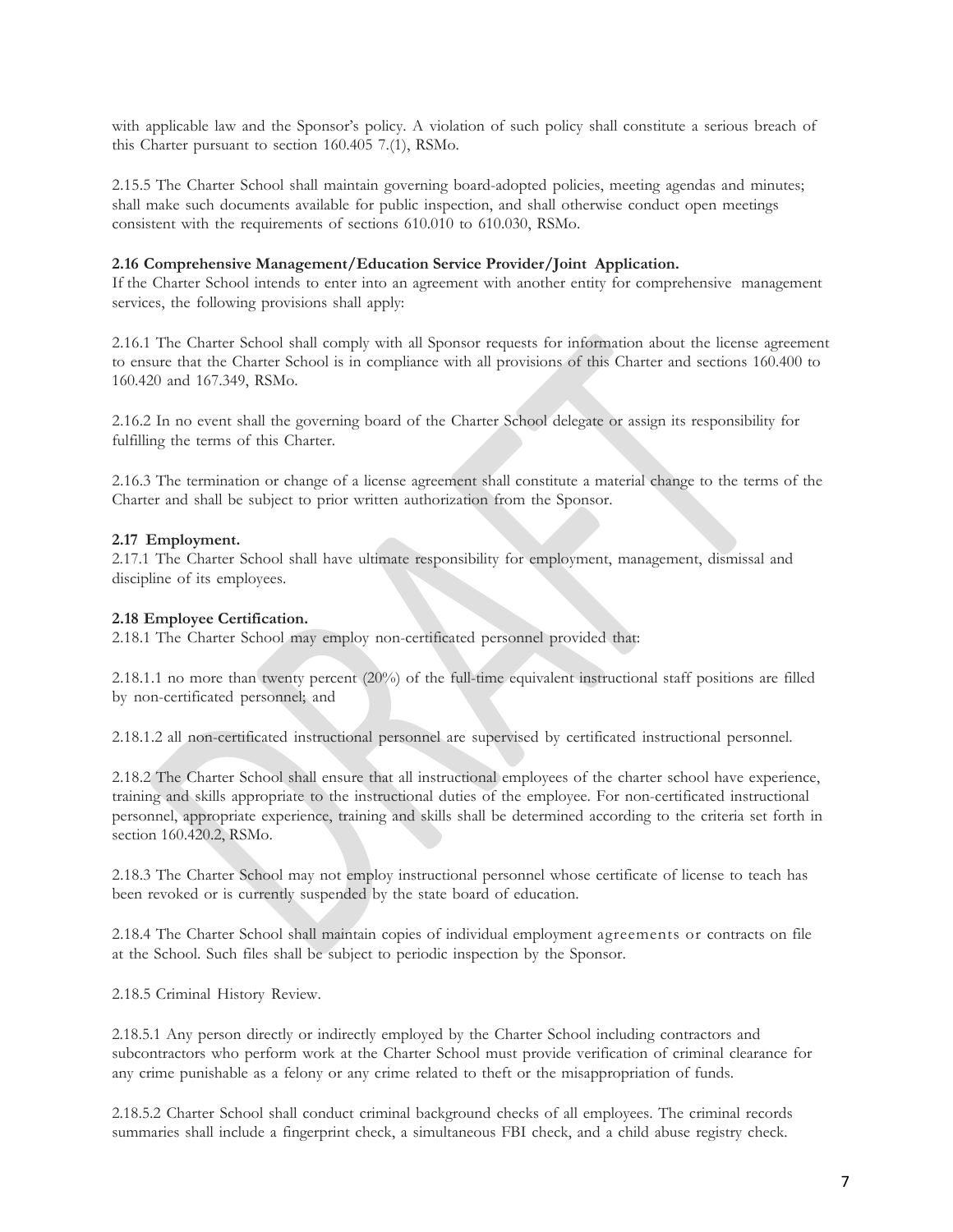with applicable law and the Sponsor's policy. A violation of such policy shall constitute a serious breach of this Charter pursuant to section 160.405 7.(1), RSMo.

2.15.5 The Charter School shall maintain governing board-adopted policies, meeting agendas and minutes; shall make such documents available for public inspection, and shall otherwise conduct open meetings consistent with the requirements of sections 610.010 to 610.030, RSMo.

### **2.16 Comprehensive Management/Education Service Provider/Joint Application.**

If the Charter School intends to enter into an agreement with another entity for comprehensive management services, the following provisions shall apply:

2.16.1 The Charter School shall comply with all Sponsor requests for information about the license agreement to ensure that the Charter School is in compliance with all provisions of this Charter and sections 160.400 to 160.420 and 167.349, RSMo.

2.16.2 In no event shall the governing board of the Charter School delegate or assign its responsibility for fulfilling the terms of this Charter.

2.16.3 The termination or change of a license agreement shall constitute a material change to the terms of the Charter and shall be subject to prior written authorization from the Sponsor.

#### **2.17 Employment.**

2.17.1 The Charter School shall have ultimate responsibility for employment, management, dismissal and discipline of its employees.

#### **2.18 Employee Certification.**

2.18.1 The Charter School may employ non-certificated personnel provided that:

2.18.1.1 no more than twenty percent (20%) of the full-time equivalent instructional staff positions are filled by non-certificated personnel; and

2.18.1.2 all non-certificated instructional personnel are supervised by certificated instructional personnel.

2.18.2 The Charter School shall ensure that all instructional employees of the charter school have experience, training and skills appropriate to the instructional duties of the employee. For non-certificated instructional personnel, appropriate experience, training and skills shall be determined according to the criteria set forth in section 160.420.2, RSMo.

2.18.3 The Charter School may not employ instructional personnel whose certificate of license to teach has been revoked or is currently suspended by the state board of education.

2.18.4 The Charter School shall maintain copies of individual employment agreements or contracts on file at the School. Such files shall be subject to periodic inspection by the Sponsor.

2.18.5 Criminal History Review.

2.18.5.1 Any person directly or indirectly employed by the Charter School including contractors and subcontractors who perform work at the Charter School must provide verification of criminal clearance for any crime punishable as a felony or any crime related to theft or the misappropriation of funds.

2.18.5.2 Charter School shall conduct criminal background checks of all employees. The criminal records summaries shall include a fingerprint check, a simultaneous FBI check, and a child abuse registry check.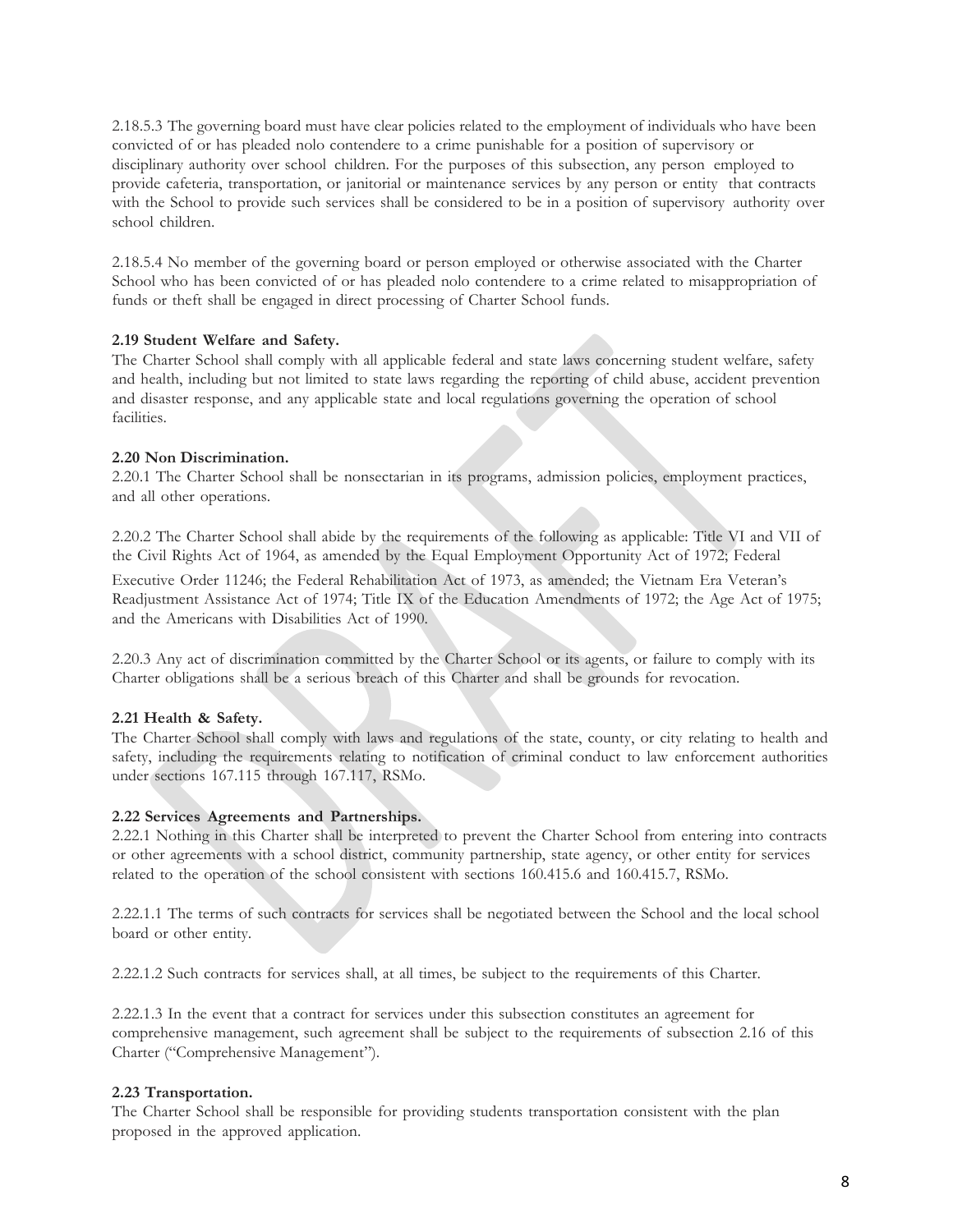2.18.5.3 The governing board must have clear policies related to the employment of individuals who have been convicted of or has pleaded nolo contendere to a crime punishable for a position of supervisory or disciplinary authority over school children. For the purposes of this subsection, any person employed to provide cafeteria, transportation, or janitorial or maintenance services by any person or entity that contracts with the School to provide such services shall be considered to be in a position of supervisory authority over school children.

2.18.5.4 No member of the governing board or person employed or otherwise associated with the Charter School who has been convicted of or has pleaded nolo contendere to a crime related to misappropriation of funds or theft shall be engaged in direct processing of Charter School funds.

# **2.19 Student Welfare and Safety.**

The Charter School shall comply with all applicable federal and state laws concerning student welfare, safety and health, including but not limited to state laws regarding the reporting of child abuse, accident prevention and disaster response, and any applicable state and local regulations governing the operation of school facilities.

# **2.20 Non Discrimination.**

2.20.1 The Charter School shall be nonsectarian in its programs, admission policies, employment practices, and all other operations.

2.20.2 The Charter School shall abide by the requirements of the following as applicable: Title VI and VII of the Civil Rights Act of 1964, as amended by the Equal Employment Opportunity Act of 1972; Federal

Executive Order 11246; the Federal Rehabilitation Act of 1973, as amended; the Vietnam Era Veteran's Readjustment Assistance Act of 1974; Title IX of the Education Amendments of 1972; the Age Act of 1975; and the Americans with Disabilities Act of 1990.

2.20.3 Any act of discrimination committed by the Charter School or its agents, or failure to comply with its Charter obligations shall be a serious breach of this Charter and shall be grounds for revocation.

# **2.21 Health & Safety.**

The Charter School shall comply with laws and regulations of the state, county, or city relating to health and safety, including the requirements relating to notification of criminal conduct to law enforcement authorities under sections 167.115 through 167.117, RSMo.

# **2.22 Services Agreements and Partnerships.**

2.22.1 Nothing in this Charter shall be interpreted to prevent the Charter School from entering into contracts or other agreements with a school district, community partnership, state agency, or other entity for services related to the operation of the school consistent with sections 160.415.6 and 160.415.7, RSMo.

2.22.1.1 The terms of such contracts for services shall be negotiated between the School and the local school board or other entity.

2.22.1.2 Such contracts for services shall, at all times, be subject to the requirements of this Charter.

2.22.1.3 In the event that a contract for services under this subsection constitutes an agreement for comprehensive management, such agreement shall be subject to the requirements of subsection 2.16 of this Charter ("Comprehensive Management").

# **2.23 Transportation.**

The Charter School shall be responsible for providing students transportation consistent with the plan proposed in the approved application.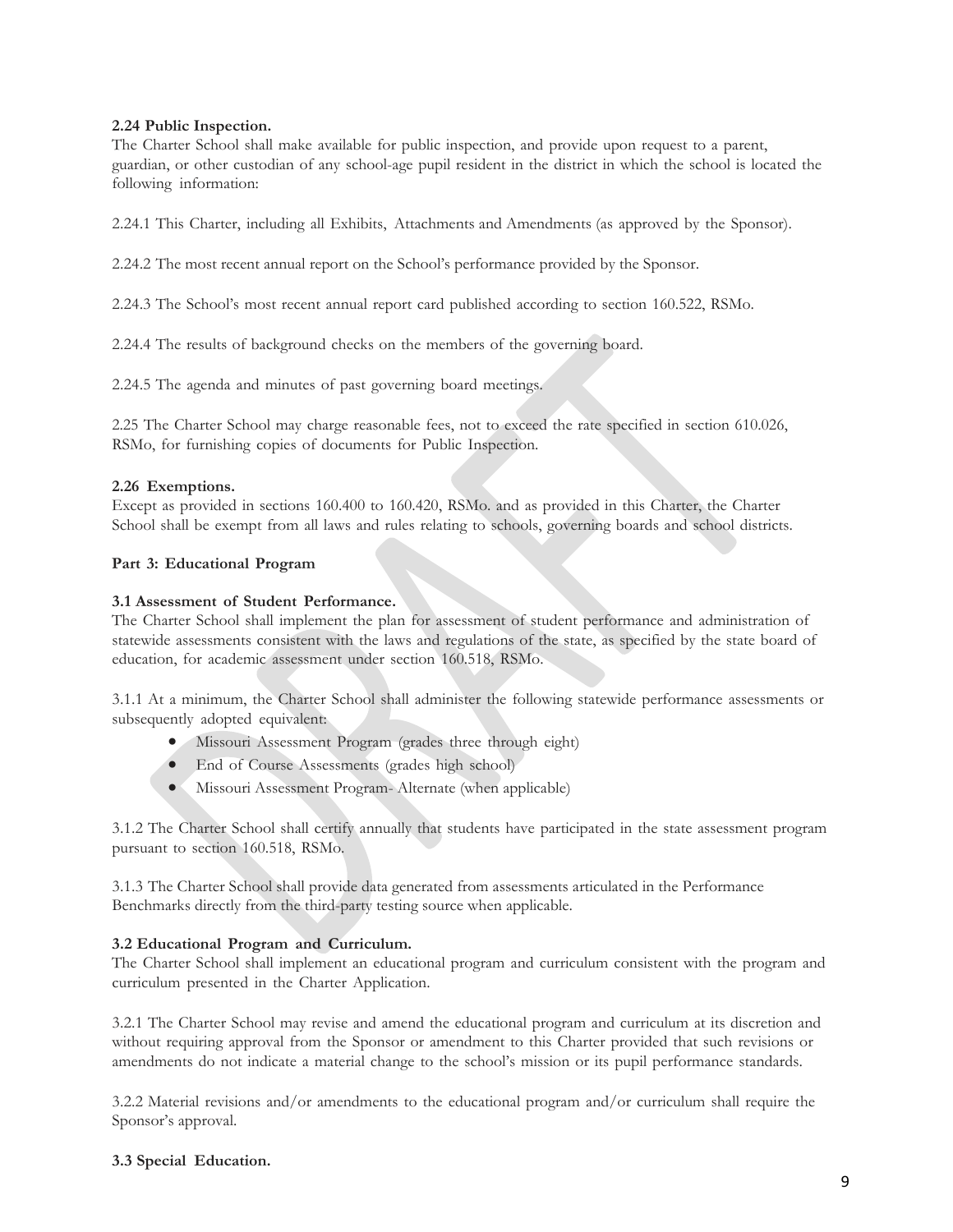# **2.24 Public Inspection.**

The Charter School shall make available for public inspection, and provide upon request to a parent, guardian, or other custodian of any school-age pupil resident in the district in which the school is located the following information:

2.24.1 This Charter, including all Exhibits, Attachments and Amendments (as approved by the Sponsor).

2.24.2 The most recent annual report on the School's performance provided by the Sponsor.

2.24.3 The School's most recent annual report card published according to section 160.522, RSMo.

2.24.4 The results of background checks on the members of the governing board.

2.24.5 The agenda and minutes of past governing board meetings.

2.25 The Charter School may charge reasonable fees, not to exceed the rate specified in section 610.026, RSMo, for furnishing copies of documents for Public Inspection.

# **2.26 Exemptions.**

Except as provided in sections 160.400 to 160.420, RSMo. and as provided in this Charter, the Charter School shall be exempt from all laws and rules relating to schools, governing boards and school districts.

# **Part 3: Educational Program**

# **3.1 Assessment of Student Performance.**

The Charter School shall implement the plan for assessment of student performance and administration of statewide assessments consistent with the laws and regulations of the state, as specified by the state board of education, for academic assessment under section 160.518, RSMo.

3.1.1 At a minimum, the Charter School shall administer the following statewide performance assessments or subsequently adopted equivalent:

- Missouri Assessment Program (grades three through eight)
- End of Course Assessments (grades high school)
- Missouri Assessment Program- Alternate (when applicable)

3.1.2 The Charter School shall certify annually that students have participated in the state assessment program pursuant to section 160.518, RSMo.

3.1.3 The Charter School shall provide data generated from assessments articulated in the Performance Benchmarks directly from the third-party testing source when applicable.

# **3.2 Educational Program and Curriculum.**

The Charter School shall implement an educational program and curriculum consistent with the program and curriculum presented in the Charter Application.

3.2.1 The Charter School may revise and amend the educational program and curriculum at its discretion and without requiring approval from the Sponsor or amendment to this Charter provided that such revisions or amendments do not indicate a material change to the school's mission or its pupil performance standards.

3.2.2 Material revisions and/or amendments to the educational program and/or curriculum shall require the Sponsor's approval.

# **3.3 Special Education.**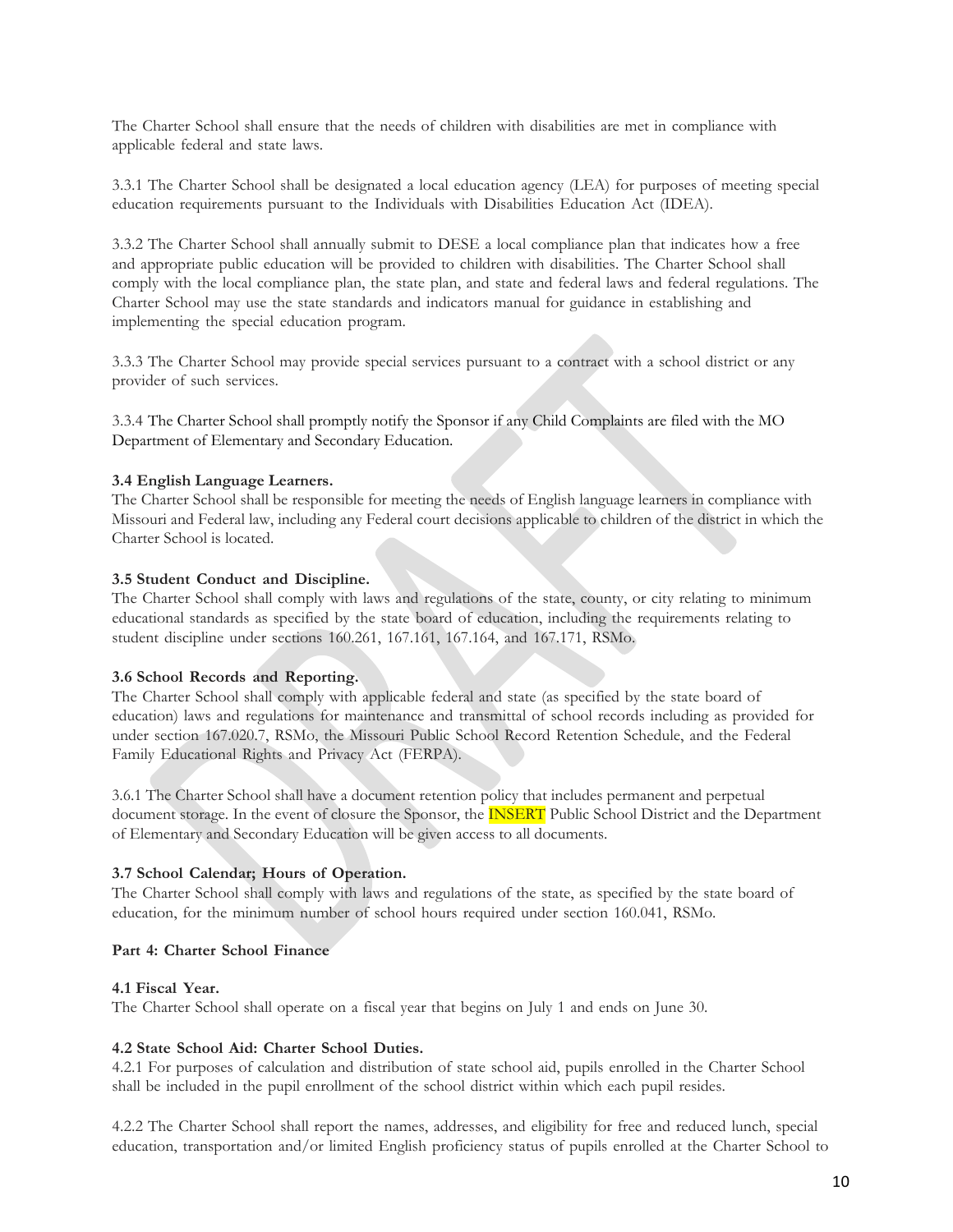The Charter School shall ensure that the needs of children with disabilities are met in compliance with applicable federal and state laws.

3.3.1 The Charter School shall be designated a local education agency (LEA) for purposes of meeting special education requirements pursuant to the Individuals with Disabilities Education Act (IDEA).

3.3.2 The Charter School shall annually submit to DESE a local compliance plan that indicates how a free and appropriate public education will be provided to children with disabilities. The Charter School shall comply with the local compliance plan, the state plan, and state and federal laws and federal regulations. The Charter School may use the state standards and indicators manual for guidance in establishing and implementing the special education program.

3.3.3 The Charter School may provide special services pursuant to a contract with a school district or any provider of such services.

3.3.4 The Charter School shall promptly notify the Sponsor if any Child Complaints are filed with the MO Department of Elementary and Secondary Education.

### **3.4 English Language Learners.**

The Charter School shall be responsible for meeting the needs of English language learners in compliance with Missouri and Federal law, including any Federal court decisions applicable to children of the district in which the Charter School is located.

### **3.5 Student Conduct and Discipline.**

The Charter School shall comply with laws and regulations of the state, county, or city relating to minimum educational standards as specified by the state board of education, including the requirements relating to student discipline under sections 160.261, 167.161, 167.164, and 167.171, RSMo.

### **3.6 School Records and Reporting.**

The Charter School shall comply with applicable federal and state (as specified by the state board of education) laws and regulations for maintenance and transmittal of school records including as provided for under section 167.020.7, RSMo, the Missouri Public School Record Retention Schedule, and the Federal Family Educational Rights and Privacy Act (FERPA).

3.6.1 The Charter School shall have a document retention policy that includes permanent and perpetual document storage. In the event of closure the Sponsor, the **INSERT** Public School District and the Department of Elementary and Secondary Education will be given access to all documents.

# **3.7 School Calendar; Hours of Operation.**

The Charter School shall comply with laws and regulations of the state, as specified by the state board of education, for the minimum number of school hours required under section 160.041, RSMo.

### **Part 4: Charter School Finance**

### **4.1 Fiscal Year.**

The Charter School shall operate on a fiscal year that begins on July 1 and ends on June 30.

# **4.2 State School Aid: Charter School Duties.**

4.2.1 For purposes of calculation and distribution of state school aid, pupils enrolled in the Charter School shall be included in the pupil enrollment of the school district within which each pupil resides.

4.2.2 The Charter School shall report the names, addresses, and eligibility for free and reduced lunch, special education, transportation and/or limited English proficiency status of pupils enrolled at the Charter School to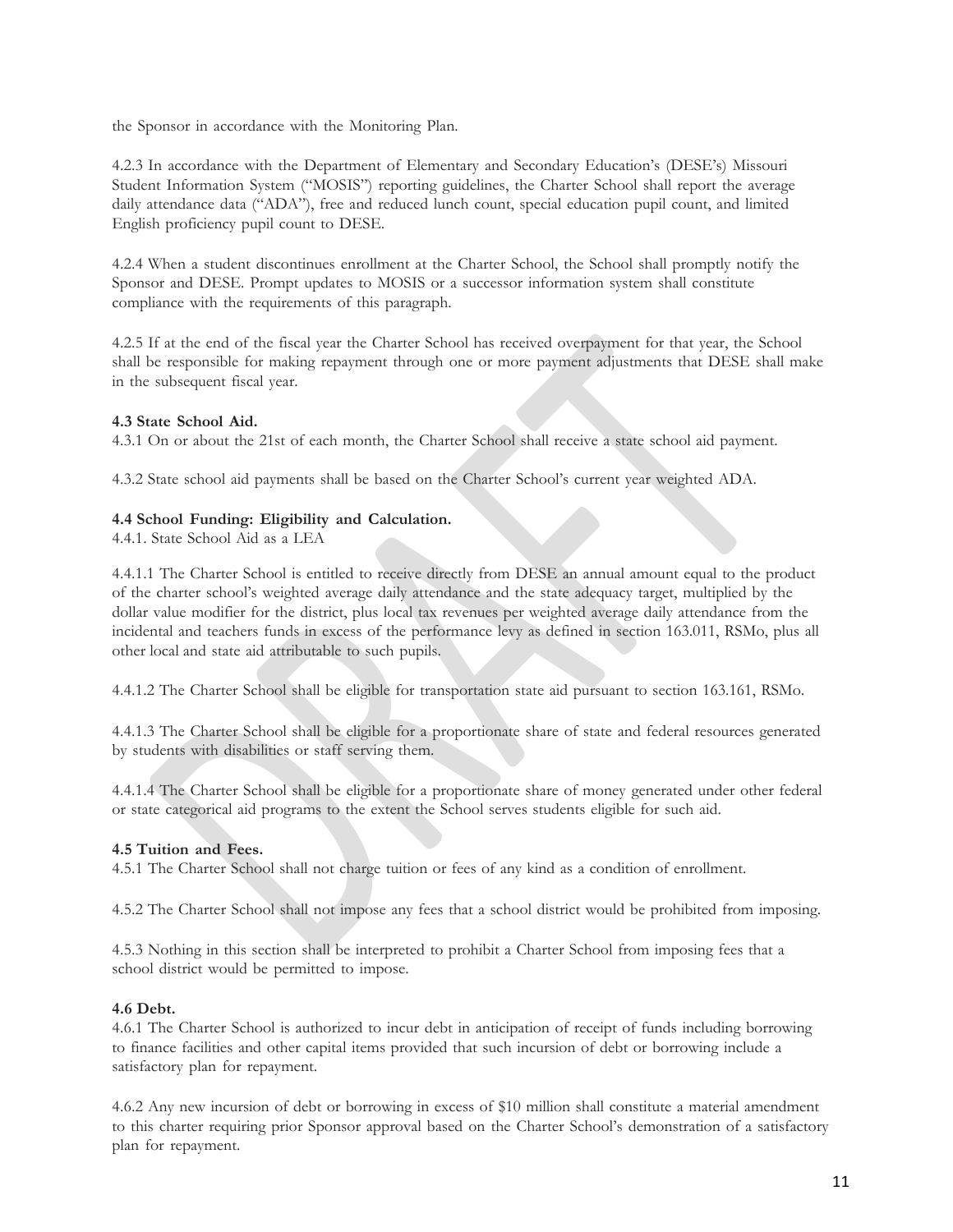the Sponsor in accordance with the Monitoring Plan.

4.2.3 In accordance with the Department of Elementary and Secondary Education's (DESE's) Missouri Student Information System ("MOSIS") reporting guidelines, the Charter School shall report the average daily attendance data ("ADA"), free and reduced lunch count, special education pupil count, and limited English proficiency pupil count to DESE.

4.2.4 When a student discontinues enrollment at the Charter School, the School shall promptly notify the Sponsor and DESE. Prompt updates to MOSIS or a successor information system shall constitute compliance with the requirements of this paragraph.

4.2.5 If at the end of the fiscal year the Charter School has received overpayment for that year, the School shall be responsible for making repayment through one or more payment adjustments that DESE shall make in the subsequent fiscal year.

# **4.3 State School Aid.**

4.3.1 On or about the 21st of each month, the Charter School shall receive a state school aid payment.

4.3.2 State school aid payments shall be based on the Charter School's current year weighted ADA.

# **4.4 School Funding: Eligibility and Calculation.**

4.4.1. State School Aid as a LEA

4.4.1.1 The Charter School is entitled to receive directly from DESE an annual amount equal to the product of the charter school's weighted average daily attendance and the state adequacy target, multiplied by the dollar value modifier for the district, plus local tax revenues per weighted average daily attendance from the incidental and teachers funds in excess of the performance levy as defined in section 163.011, RSMo, plus all other local and state aid attributable to such pupils.

4.4.1.2 The Charter School shall be eligible for transportation state aid pursuant to section 163.161, RSMo.

4.4.1.3 The Charter School shall be eligible for a proportionate share of state and federal resources generated by students with disabilities or staff serving them.

4.4.1.4 The Charter School shall be eligible for a proportionate share of money generated under other federal or state categorical aid programs to the extent the School serves students eligible for such aid.

# **4.5 Tuition and Fees.**

4.5.1 The Charter School shall not charge tuition or fees of any kind as a condition of enrollment.

4.5.2 The Charter School shall not impose any fees that a school district would be prohibited from imposing.

4.5.3 Nothing in this section shall be interpreted to prohibit a Charter School from imposing fees that a school district would be permitted to impose.

# **4.6 Debt.**

4.6.1 The Charter School is authorized to incur debt in anticipation of receipt of funds including borrowing to finance facilities and other capital items provided that such incursion of debt or borrowing include a satisfactory plan for repayment.

4.6.2 Any new incursion of debt or borrowing in excess of \$10 million shall constitute a material amendment to this charter requiring prior Sponsor approval based on the Charter School's demonstration of a satisfactory plan for repayment.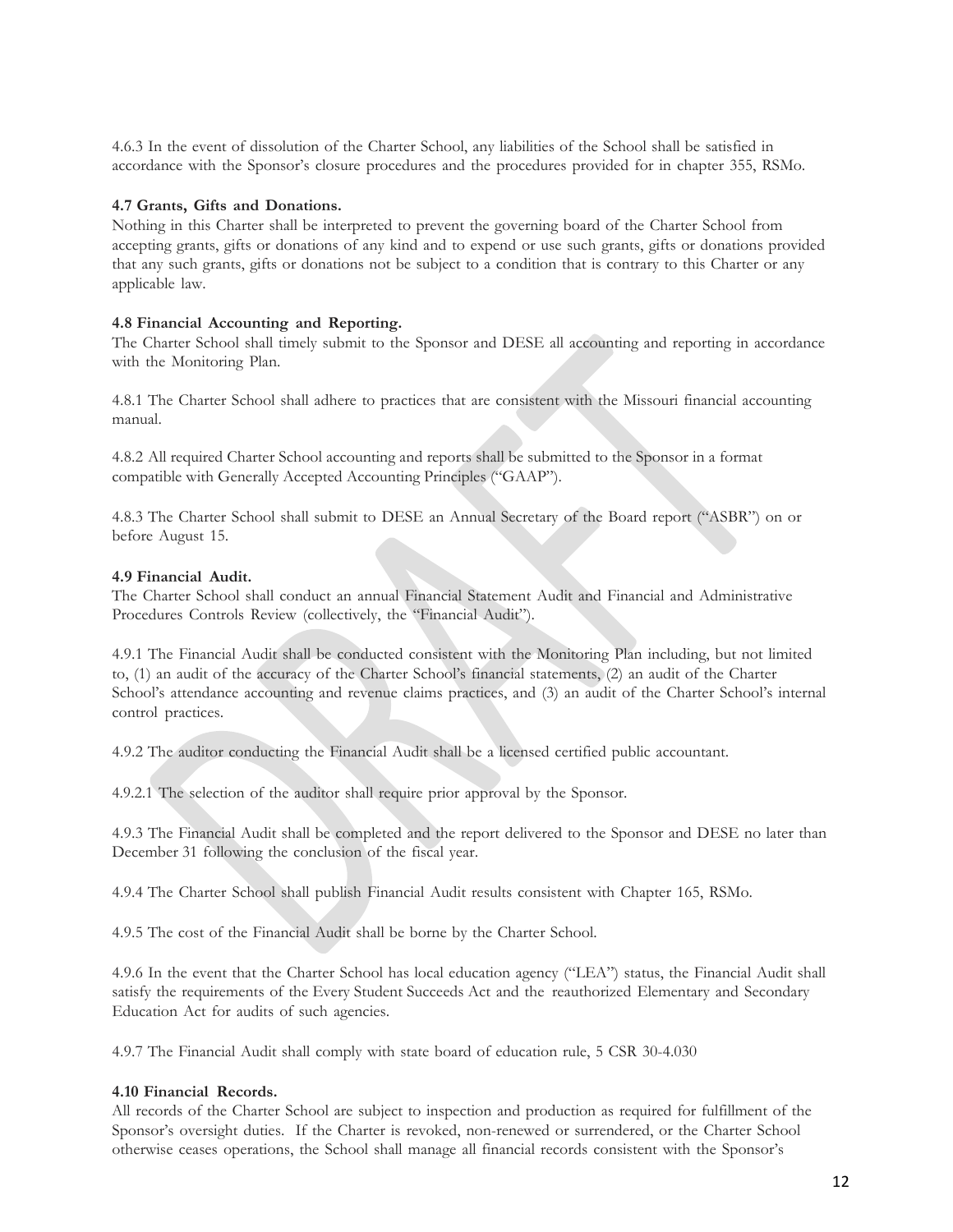4.6.3 In the event of dissolution of the Charter School, any liabilities of the School shall be satisfied in accordance with the Sponsor's closure procedures and the procedures provided for in chapter 355, RSMo.

### **4.7 Grants, Gifts and Donations.**

Nothing in this Charter shall be interpreted to prevent the governing board of the Charter School from accepting grants, gifts or donations of any kind and to expend or use such grants, gifts or donations provided that any such grants, gifts or donations not be subject to a condition that is contrary to this Charter or any applicable law.

### **4.8 Financial Accounting and Reporting.**

The Charter School shall timely submit to the Sponsor and DESE all accounting and reporting in accordance with the Monitoring Plan.

4.8.1 The Charter School shall adhere to practices that are consistent with the Missouri financial accounting manual.

4.8.2 All required Charter School accounting and reports shall be submitted to the Sponsor in a format compatible with Generally Accepted Accounting Principles ("GAAP").

4.8.3 The Charter School shall submit to DESE an Annual Secretary of the Board report ("ASBR") on or before August 15.

### **4.9 Financial Audit.**

The Charter School shall conduct an annual Financial Statement Audit and Financial and Administrative Procedures Controls Review (collectively, the "Financial Audit").

4.9.1 The Financial Audit shall be conducted consistent with the Monitoring Plan including, but not limited to, (1) an audit of the accuracy of the Charter School's financial statements, (2) an audit of the Charter School's attendance accounting and revenue claims practices, and (3) an audit of the Charter School's internal control practices.

4.9.2 The auditor conducting the Financial Audit shall be a licensed certified public accountant.

4.9.2.1 The selection of the auditor shall require prior approval by the Sponsor.

4.9.3 The Financial Audit shall be completed and the report delivered to the Sponsor and DESE no later than December 31 following the conclusion of the fiscal year.

4.9.4 The Charter School shall publish Financial Audit results consistent with Chapter 165, RSMo.

4.9.5 The cost of the Financial Audit shall be borne by the Charter School.

4.9.6 In the event that the Charter School has local education agency ("LEA") status, the Financial Audit shall satisfy the requirements of the Every Student Succeeds Act and the reauthorized Elementary and Secondary Education Act for audits of such agencies.

4.9.7 The Financial Audit shall comply with state board of education rule, 5 CSR 30-4.030

### **4.10 Financial Records.**

All records of the Charter School are subject to inspection and production as required for fulfillment of the Sponsor's oversight duties. If the Charter is revoked, non-renewed or surrendered, or the Charter School otherwise ceases operations, the School shall manage all financial records consistent with the Sponsor's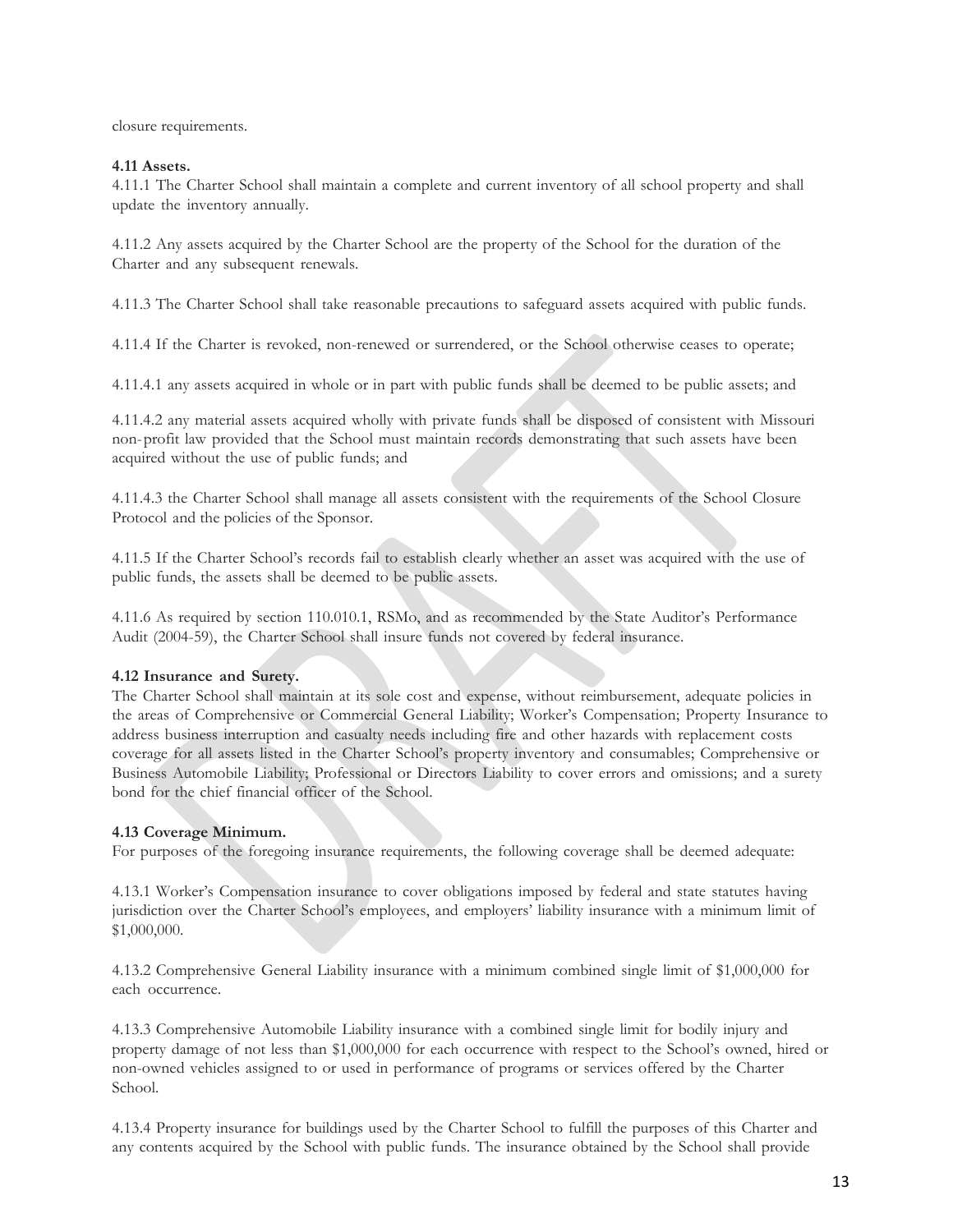closure requirements.

# **4.11 Assets.**

4.11.1 The Charter School shall maintain a complete and current inventory of all school property and shall update the inventory annually.

4.11.2 Any assets acquired by the Charter School are the property of the School for the duration of the Charter and any subsequent renewals.

4.11.3 The Charter School shall take reasonable precautions to safeguard assets acquired with public funds.

4.11.4 If the Charter is revoked, non-renewed or surrendered, or the School otherwise ceases to operate;

4.11.4.1 any assets acquired in whole or in part with public funds shall be deemed to be public assets; and

4.11.4.2 any material assets acquired wholly with private funds shall be disposed of consistent with Missouri non-profit law provided that the School must maintain records demonstrating that such assets have been acquired without the use of public funds; and

4.11.4.3 the Charter School shall manage all assets consistent with the requirements of the School Closure Protocol and the policies of the Sponsor.

4.11.5 If the Charter School's records fail to establish clearly whether an asset was acquired with the use of public funds, the assets shall be deemed to be public assets.

4.11.6 As required by section 110.010.1, RSMo, and as recommended by the State Auditor's Performance Audit (2004-59), the Charter School shall insure funds not covered by federal insurance.

# **4.12 Insurance and Surety.**

The Charter School shall maintain at its sole cost and expense, without reimbursement, adequate policies in the areas of Comprehensive or Commercial General Liability; Worker's Compensation; Property Insurance to address business interruption and casualty needs including fire and other hazards with replacement costs coverage for all assets listed in the Charter School's property inventory and consumables; Comprehensive or Business Automobile Liability; Professional or Directors Liability to cover errors and omissions; and a surety bond for the chief financial officer of the School.

# **4.13 Coverage Minimum.**

For purposes of the foregoing insurance requirements, the following coverage shall be deemed adequate:

4.13.1 Worker's Compensation insurance to cover obligations imposed by federal and state statutes having jurisdiction over the Charter School's employees, and employers' liability insurance with a minimum limit of \$1,000,000.

4.13.2 Comprehensive General Liability insurance with a minimum combined single limit of \$1,000,000 for each occurrence.

4.13.3 Comprehensive Automobile Liability insurance with a combined single limit for bodily injury and property damage of not less than \$1,000,000 for each occurrence with respect to the School's owned, hired or non-owned vehicles assigned to or used in performance of programs or services offered by the Charter School.

4.13.4 Property insurance for buildings used by the Charter School to fulfill the purposes of this Charter and any contents acquired by the School with public funds. The insurance obtained by the School shall provide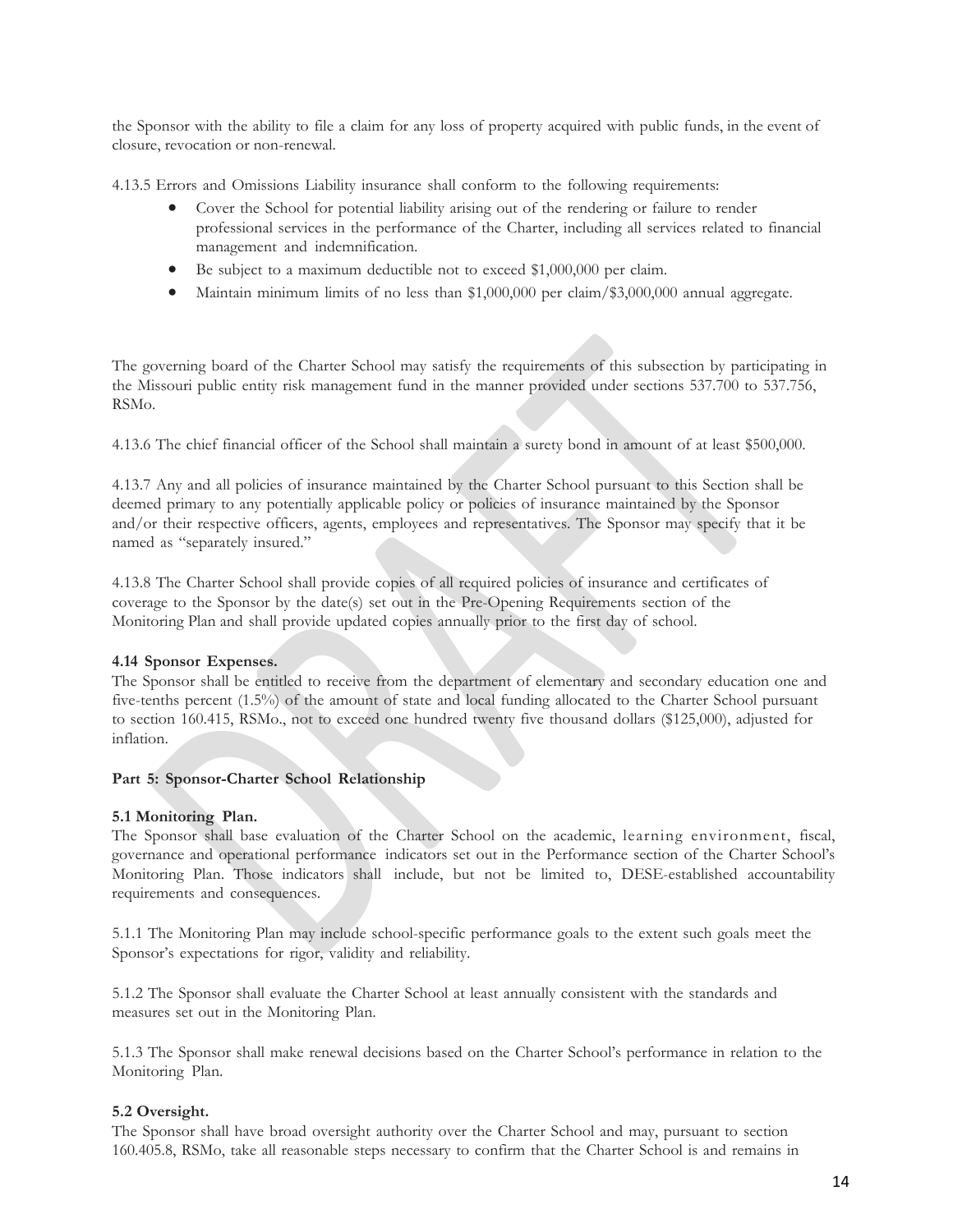the Sponsor with the ability to file a claim for any loss of property acquired with public funds, in the event of closure, revocation or non-renewal.

4.13.5 Errors and Omissions Liability insurance shall conform to the following requirements:

- Cover the School for potential liability arising out of the rendering or failure to render professional services in the performance of the Charter, including all services related to financial management and indemnification.
- Be subject to a maximum deductible not to exceed \$1,000,000 per claim.
- Maintain minimum limits of no less than \$1,000,000 per claim/\$3,000,000 annual aggregate.

The governing board of the Charter School may satisfy the requirements of this subsection by participating in the Missouri public entity risk management fund in the manner provided under sections 537.700 to 537.756, RSMo.

4.13.6 The chief financial officer of the School shall maintain a surety bond in amount of at least \$500,000.

4.13.7 Any and all policies of insurance maintained by the Charter School pursuant to this Section shall be deemed primary to any potentially applicable policy or policies of insurance maintained by the Sponsor and/or their respective officers, agents, employees and representatives. The Sponsor may specify that it be named as "separately insured."

4.13.8 The Charter School shall provide copies of all required policies of insurance and certificates of coverage to the Sponsor by the date(s) set out in the Pre-Opening Requirements section of the Monitoring Plan and shall provide updated copies annually prior to the first day of school.

### **4.14 Sponsor Expenses.**

The Sponsor shall be entitled to receive from the department of elementary and secondary education one and five-tenths percent (1.5%) of the amount of state and local funding allocated to the Charter School pursuant to section 160.415, RSMo., not to exceed one hundred twenty five thousand dollars (\$125,000), adjusted for inflation.

### **Part 5: Sponsor-Charter School Relationship**

### **5.1 Monitoring Plan.**

The Sponsor shall base evaluation of the Charter School on the academic, learning environment, fiscal, governance and operational performance indicators set out in the Performance section of the Charter School's Monitoring Plan. Those indicators shall include, but not be limited to, DESE-established accountability requirements and consequences.

5.1.1 The Monitoring Plan may include school-specific performance goals to the extent such goals meet the Sponsor's expectations for rigor, validity and reliability.

5.1.2 The Sponsor shall evaluate the Charter School at least annually consistent with the standards and measures set out in the Monitoring Plan.

5.1.3 The Sponsor shall make renewal decisions based on the Charter School's performance in relation to the Monitoring Plan.

#### **5.2 Oversight.**

The Sponsor shall have broad oversight authority over the Charter School and may, pursuant to section 160.405.8, RSMo, take all reasonable steps necessary to confirm that the Charter School is and remains in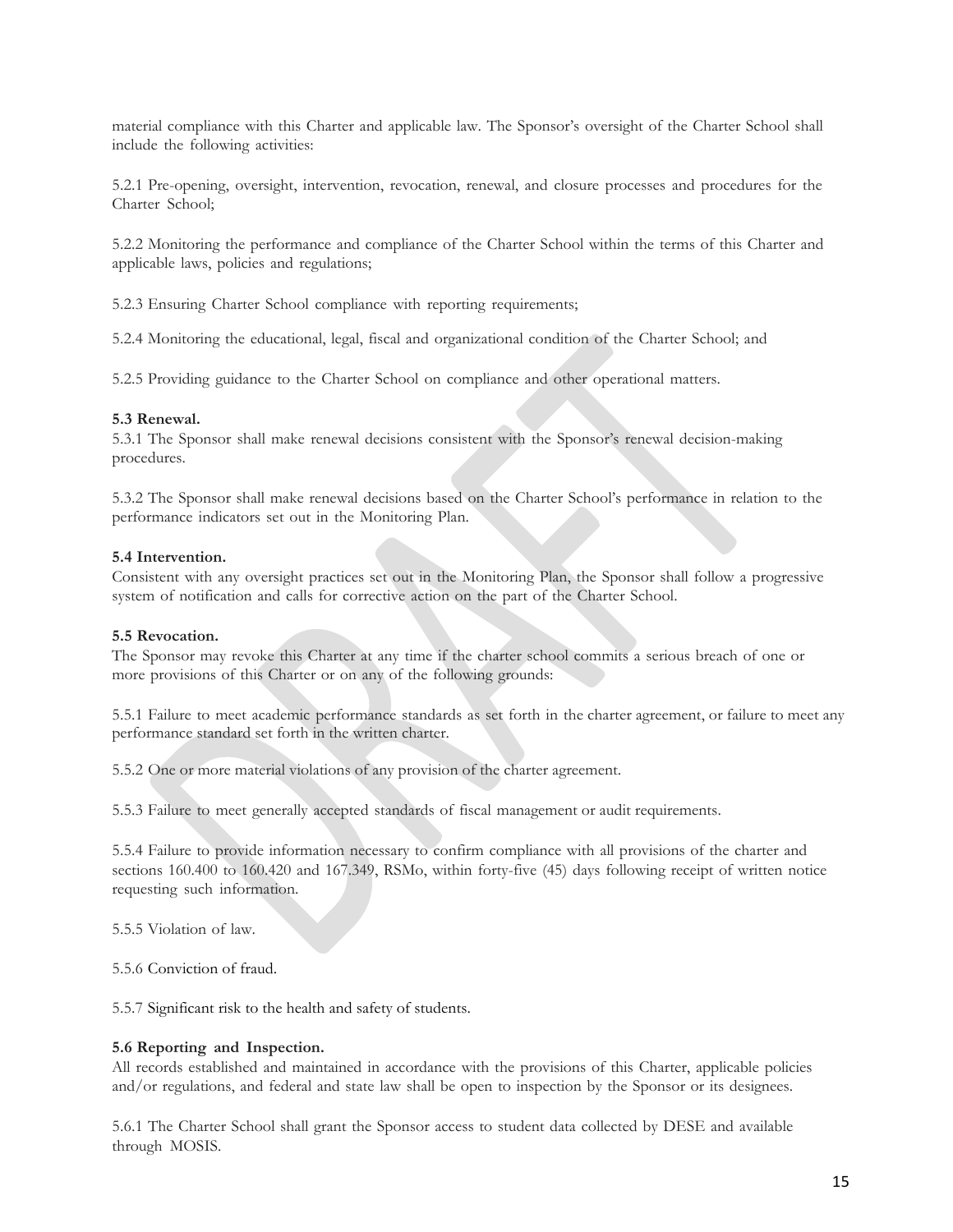material compliance with this Charter and applicable law. The Sponsor's oversight of the Charter School shall include the following activities:

5.2.1 Pre-opening, oversight, intervention, revocation, renewal, and closure processes and procedures for the Charter School;

5.2.2 Monitoring the performance and compliance of the Charter School within the terms of this Charter and applicable laws, policies and regulations;

5.2.3 Ensuring Charter School compliance with reporting requirements;

5.2.4 Monitoring the educational, legal, fiscal and organizational condition of the Charter School; and

5.2.5 Providing guidance to the Charter School on compliance and other operational matters.

#### **5.3 Renewal.**

5.3.1 The Sponsor shall make renewal decisions consistent with the Sponsor's renewal decision-making procedures.

5.3.2 The Sponsor shall make renewal decisions based on the Charter School's performance in relation to the performance indicators set out in the Monitoring Plan.

#### **5.4 Intervention.**

Consistent with any oversight practices set out in the Monitoring Plan, the Sponsor shall follow a progressive system of notification and calls for corrective action on the part of the Charter School.

#### **5.5 Revocation.**

The Sponsor may revoke this Charter at any time if the charter school commits a serious breach of one or more provisions of this Charter or on any of the following grounds:

5.5.1 Failure to meet academic performance standards as set forth in the charter agreement, or failure to meet any performance standard set forth in the written charter.

5.5.2 One or more material violations of any provision of the charter agreement.

5.5.3 Failure to meet generally accepted standards of fiscal management or audit requirements.

5.5.4 Failure to provide information necessary to confirm compliance with all provisions of the charter and sections 160.400 to 160.420 and 167.349, RSMo, within forty-five (45) days following receipt of written notice requesting such information.

5.5.5 Violation of law.

5.5.6 Conviction of fraud.

5.5.7 Significant risk to the health and safety of students.

### **5.6 Reporting and Inspection.**

All records established and maintained in accordance with the provisions of this Charter, applicable policies and/or regulations, and federal and state law shall be open to inspection by the Sponsor or its designees.

5.6.1 The Charter School shall grant the Sponsor access to student data collected by DESE and available through MOSIS.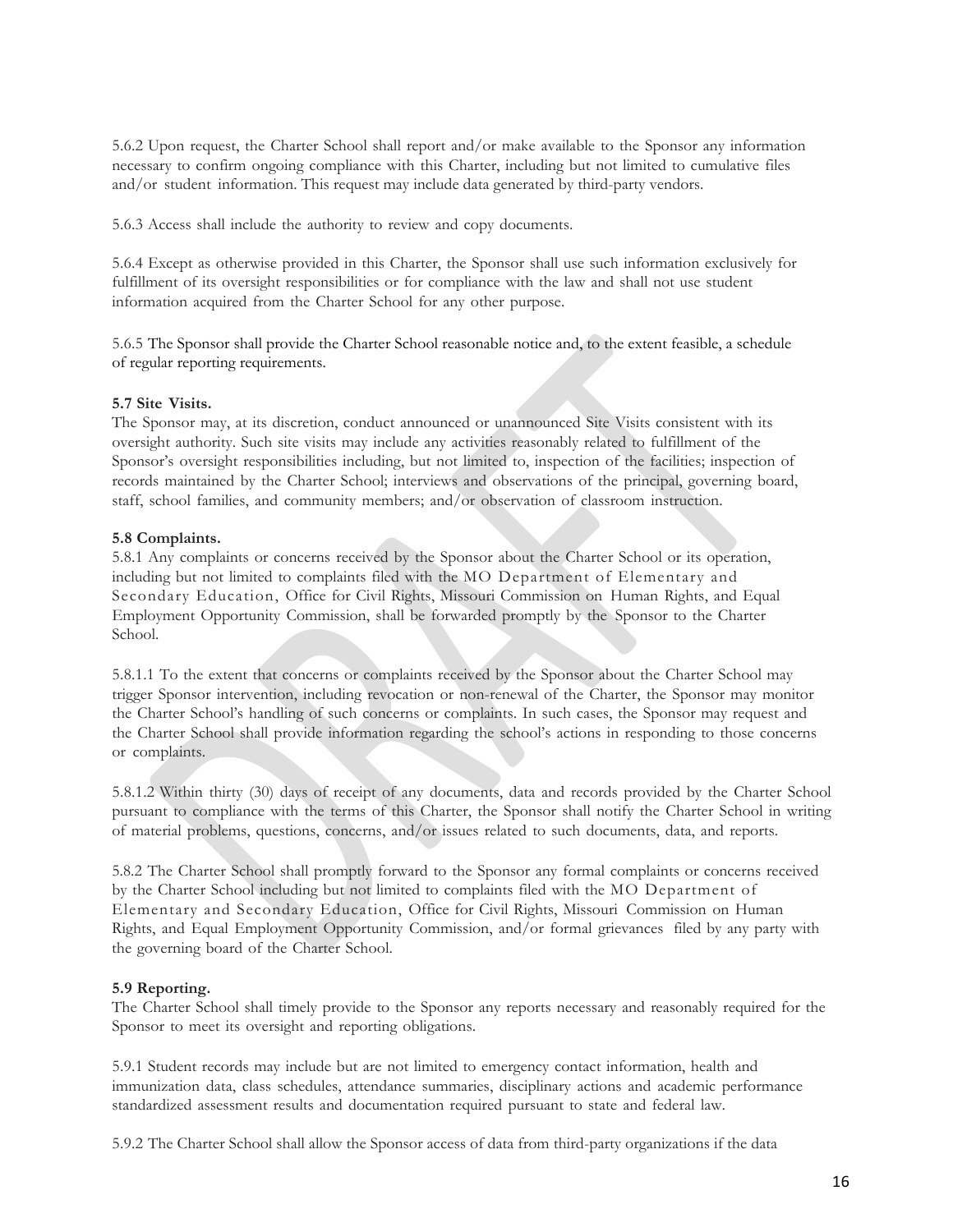5.6.2 Upon request, the Charter School shall report and/or make available to the Sponsor any information necessary to confirm ongoing compliance with this Charter, including but not limited to cumulative files and/or student information. This request may include data generated by third-party vendors.

5.6.3 Access shall include the authority to review and copy documents.

5.6.4 Except as otherwise provided in this Charter, the Sponsor shall use such information exclusively for fulfillment of its oversight responsibilities or for compliance with the law and shall not use student information acquired from the Charter School for any other purpose.

5.6.5 The Sponsor shall provide the Charter School reasonable notice and, to the extent feasible, a schedule of regular reporting requirements.

# **5.7 Site Visits.**

The Sponsor may, at its discretion, conduct announced or unannounced Site Visits consistent with its oversight authority. Such site visits may include any activities reasonably related to fulfillment of the Sponsor's oversight responsibilities including, but not limited to, inspection of the facilities; inspection of records maintained by the Charter School; interviews and observations of the principal, governing board, staff, school families, and community members; and/or observation of classroom instruction.

### **5.8 Complaints.**

5.8.1 Any complaints or concerns received by the Sponsor about the Charter School or its operation, including but not limited to complaints filed with the MO Department of Elementary and Secondary Education, Office for Civil Rights, Missouri Commission on Human Rights, and Equal Employment Opportunity Commission, shall be forwarded promptly by the Sponsor to the Charter School.

5.8.1.1 To the extent that concerns or complaints received by the Sponsor about the Charter School may trigger Sponsor intervention, including revocation or non-renewal of the Charter, the Sponsor may monitor the Charter School's handling of such concerns or complaints. In such cases, the Sponsor may request and the Charter School shall provide information regarding the school's actions in responding to those concerns or complaints.

5.8.1.2 Within thirty (30) days of receipt of any documents, data and records provided by the Charter School pursuant to compliance with the terms of this Charter, the Sponsor shall notify the Charter School in writing of material problems, questions, concerns, and/or issues related to such documents, data, and reports.

5.8.2 The Charter School shall promptly forward to the Sponsor any formal complaints or concerns received by the Charter School including but not limited to complaints filed with the MO Department of Elementary and Secondary Education, Office for Civil Rights, Missouri Commission on Human Rights, and Equal Employment Opportunity Commission, and/or formal grievances filed by any party with the governing board of the Charter School.

# **5.9 Reporting.**

The Charter School shall timely provide to the Sponsor any reports necessary and reasonably required for the Sponsor to meet its oversight and reporting obligations.

5.9.1 Student records may include but are not limited to emergency contact information, health and immunization data, class schedules, attendance summaries, disciplinary actions and academic performance standardized assessment results and documentation required pursuant to state and federal law.

5.9.2 The Charter School shall allow the Sponsor access of data from third-party organizations if the data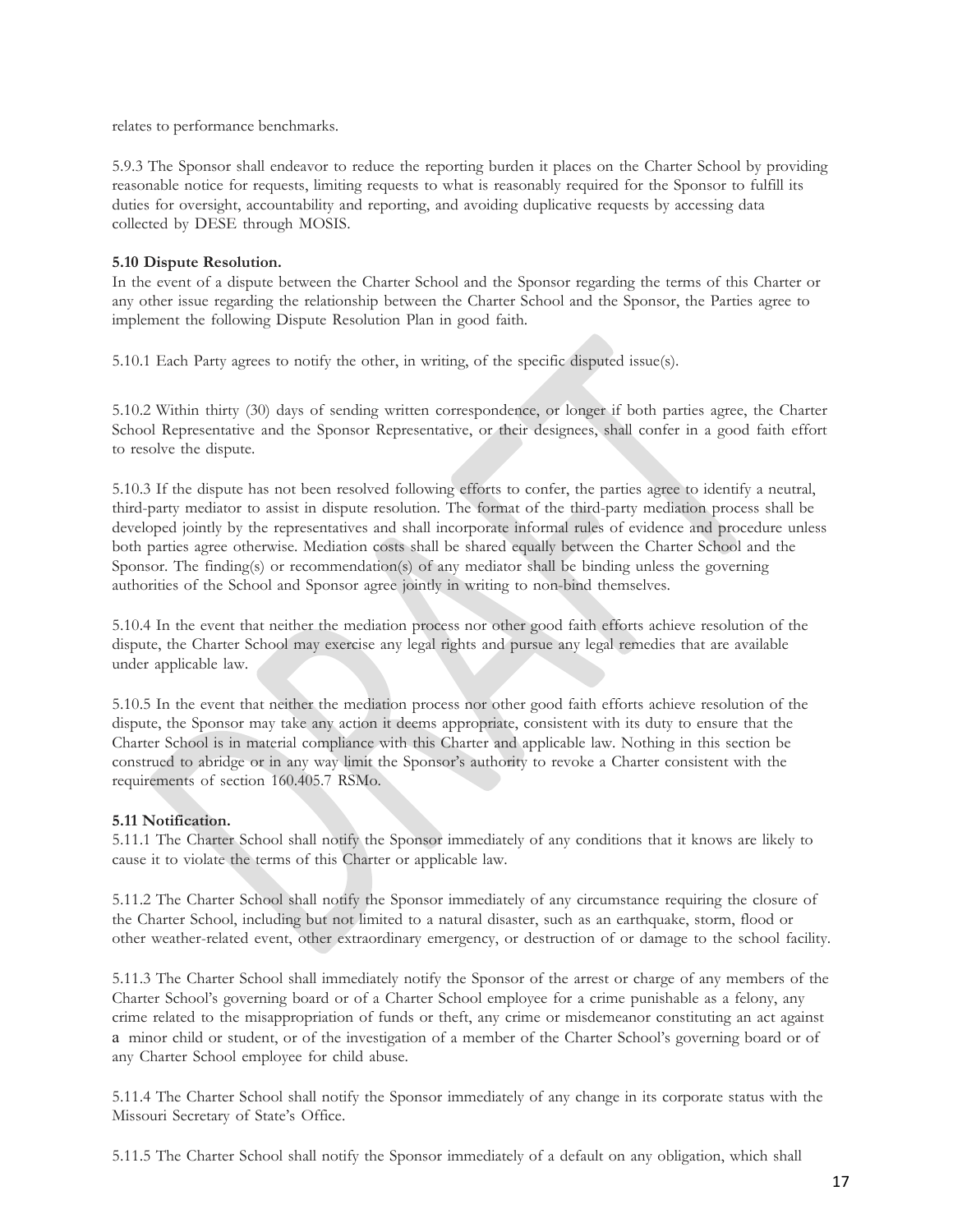relates to performance benchmarks.

5.9.3 The Sponsor shall endeavor to reduce the reporting burden it places on the Charter School by providing reasonable notice for requests, limiting requests to what is reasonably required for the Sponsor to fulfill its duties for oversight, accountability and reporting, and avoiding duplicative requests by accessing data collected by DESE through MOSIS.

# **5.10 Dispute Resolution.**

In the event of a dispute between the Charter School and the Sponsor regarding the terms of this Charter or any other issue regarding the relationship between the Charter School and the Sponsor, the Parties agree to implement the following Dispute Resolution Plan in good faith.

5.10.1 Each Party agrees to notify the other, in writing, of the specific disputed issue(s).

5.10.2 Within thirty (30) days of sending written correspondence, or longer if both parties agree, the Charter School Representative and the Sponsor Representative, or their designees, shall confer in a good faith effort to resolve the dispute.

5.10.3 If the dispute has not been resolved following efforts to confer, the parties agree to identify a neutral, third-party mediator to assist in dispute resolution. The format of the third-party mediation process shall be developed jointly by the representatives and shall incorporate informal rules of evidence and procedure unless both parties agree otherwise. Mediation costs shall be shared equally between the Charter School and the Sponsor. The finding(s) or recommendation(s) of any mediator shall be binding unless the governing authorities of the School and Sponsor agree jointly in writing to non-bind themselves.

5.10.4 In the event that neither the mediation process nor other good faith efforts achieve resolution of the dispute, the Charter School may exercise any legal rights and pursue any legal remedies that are available under applicable law.

5.10.5 In the event that neither the mediation process nor other good faith efforts achieve resolution of the dispute, the Sponsor may take any action it deems appropriate, consistent with its duty to ensure that the Charter School is in material compliance with this Charter and applicable law. Nothing in this section be construed to abridge or in any way limit the Sponsor's authority to revoke a Charter consistent with the requirements of section 160.405.7 RSMo.

# **5.11 Notification.**

5.11.1 The Charter School shall notify the Sponsor immediately of any conditions that it knows are likely to cause it to violate the terms of this Charter or applicable law.

5.11.2 The Charter School shall notify the Sponsor immediately of any circumstance requiring the closure of the Charter School, including but not limited to a natural disaster, such as an earthquake, storm, flood or other weather-related event, other extraordinary emergency, or destruction of or damage to the school facility.

5.11.3 The Charter School shall immediately notify the Sponsor of the arrest or charge of any members of the Charter School's governing board or of a Charter School employee for a crime punishable as a felony, any crime related to the misappropriation of funds or theft, any crime or misdemeanor constituting an act against a minor child or student, or of the investigation of a member of the Charter School's governing board or of any Charter School employee for child abuse.

5.11.4 The Charter School shall notify the Sponsor immediately of any change in its corporate status with the Missouri Secretary of State's Office.

5.11.5 The Charter School shall notify the Sponsor immediately of a default on any obligation, which shall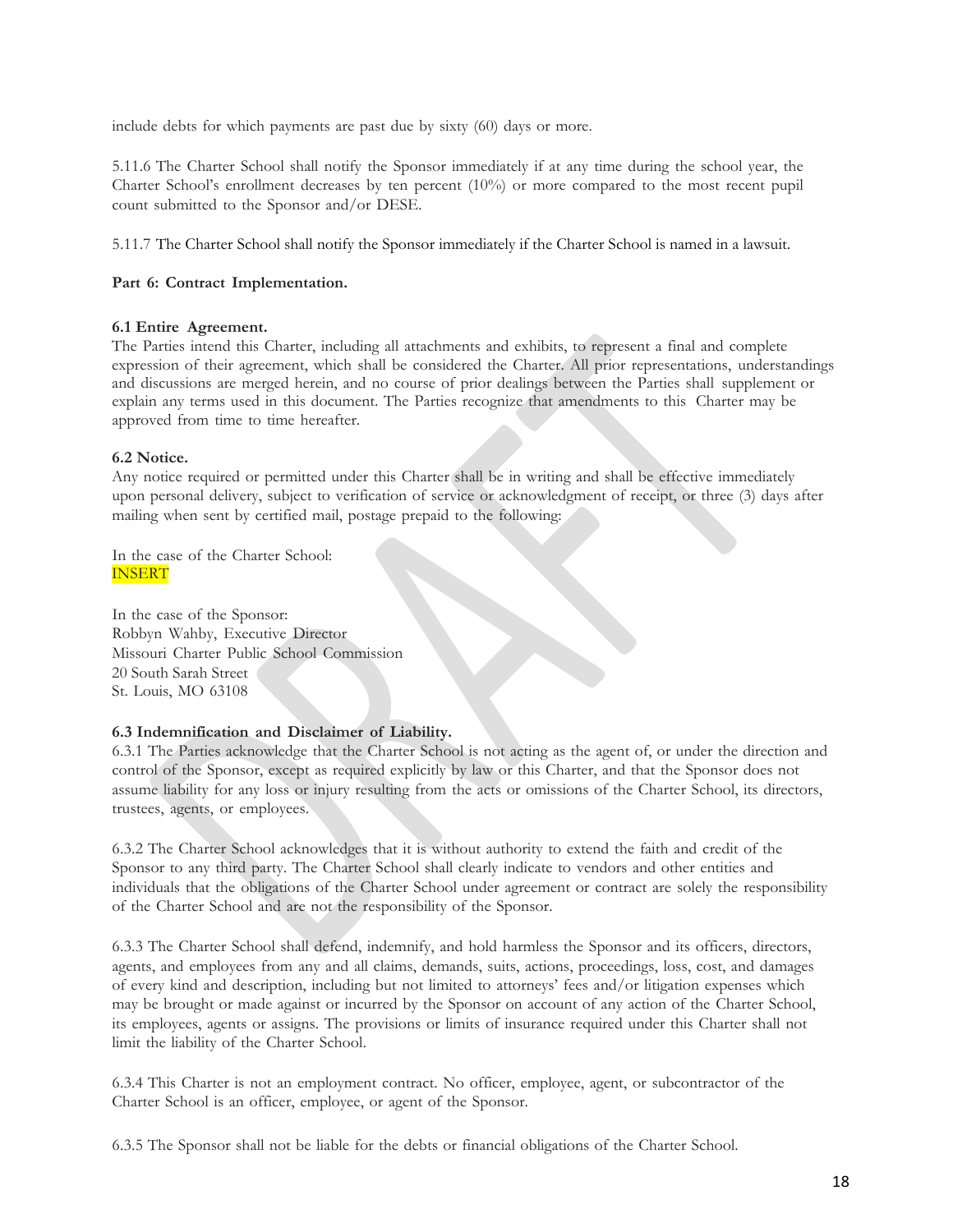include debts for which payments are past due by sixty (60) days or more.

5.11.6 The Charter School shall notify the Sponsor immediately if at any time during the school year, the Charter School's enrollment decreases by ten percent (10%) or more compared to the most recent pupil count submitted to the Sponsor and/or DESE.

5.11.7 The Charter School shall notify the Sponsor immediately if the Charter School is named in a lawsuit.

# **Part 6: Contract Implementation.**

# **6.1 Entire Agreement.**

The Parties intend this Charter, including all attachments and exhibits, to represent a final and complete expression of their agreement, which shall be considered the Charter. All prior representations, understandings and discussions are merged herein, and no course of prior dealings between the Parties shall supplement or explain any terms used in this document. The Parties recognize that amendments to this Charter may be approved from time to time hereafter.

# **6.2 Notice.**

Any notice required or permitted under this Charter shall be in writing and shall be effective immediately upon personal delivery, subject to verification of service or acknowledgment of receipt, or three (3) days after mailing when sent by certified mail, postage prepaid to the following:

In the case of the Charter School: INSERT

In the case of the Sponsor: Robbyn Wahby, Executive Director Missouri Charter Public School Commission 20 South Sarah Street St. Louis, MO 63108

# **6.3 Indemnification and Disclaimer of Liability.**

6.3.1 The Parties acknowledge that the Charter School is not acting as the agent of, or under the direction and control of the Sponsor, except as required explicitly by law or this Charter, and that the Sponsor does not assume liability for any loss or injury resulting from the acts or omissions of the Charter School, its directors, trustees, agents, or employees.

6.3.2 The Charter School acknowledges that it is without authority to extend the faith and credit of the Sponsor to any third party. The Charter School shall clearly indicate to vendors and other entities and individuals that the obligations of the Charter School under agreement or contract are solely the responsibility of the Charter School and are not the responsibility of the Sponsor.

6.3.3 The Charter School shall defend, indemnify, and hold harmless the Sponsor and its officers, directors, agents, and employees from any and all claims, demands, suits, actions, proceedings, loss, cost, and damages of every kind and description, including but not limited to attorneys' fees and/or litigation expenses which may be brought or made against or incurred by the Sponsor on account of any action of the Charter School, its employees, agents or assigns. The provisions or limits of insurance required under this Charter shall not limit the liability of the Charter School.

6.3.4 This Charter is not an employment contract. No officer, employee, agent, or subcontractor of the Charter School is an officer, employee, or agent of the Sponsor.

6.3.5 The Sponsor shall not be liable for the debts or financial obligations of the Charter School.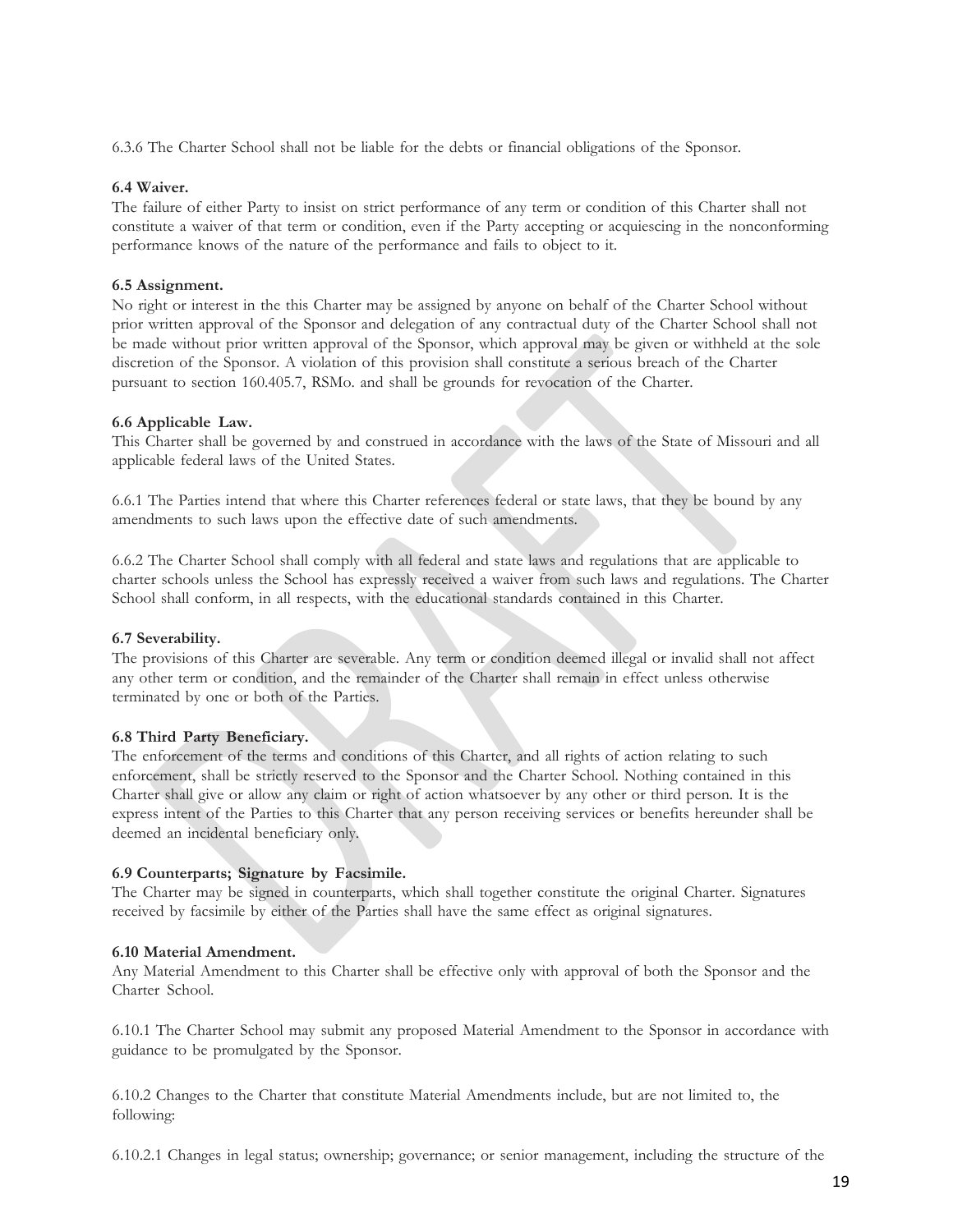6.3.6 The Charter School shall not be liable for the debts or financial obligations of the Sponsor.

# **6.4 Waiver.**

The failure of either Party to insist on strict performance of any term or condition of this Charter shall not constitute a waiver of that term or condition, even if the Party accepting or acquiescing in the nonconforming performance knows of the nature of the performance and fails to object to it.

### **6.5 Assignment.**

No right or interest in the this Charter may be assigned by anyone on behalf of the Charter School without prior written approval of the Sponsor and delegation of any contractual duty of the Charter School shall not be made without prior written approval of the Sponsor, which approval may be given or withheld at the sole discretion of the Sponsor. A violation of this provision shall constitute a serious breach of the Charter pursuant to section 160.405.7, RSMo. and shall be grounds for revocation of the Charter.

### **6.6 Applicable Law.**

This Charter shall be governed by and construed in accordance with the laws of the State of Missouri and all applicable federal laws of the United States.

6.6.1 The Parties intend that where this Charter references federal or state laws, that they be bound by any amendments to such laws upon the effective date of such amendments.

6.6.2 The Charter School shall comply with all federal and state laws and regulations that are applicable to charter schools unless the School has expressly received a waiver from such laws and regulations. The Charter School shall conform, in all respects, with the educational standards contained in this Charter.

### **6.7 Severability.**

The provisions of this Charter are severable. Any term or condition deemed illegal or invalid shall not affect any other term or condition, and the remainder of the Charter shall remain in effect unless otherwise terminated by one or both of the Parties.

### **6.8 Third Party Beneficiary.**

The enforcement of the terms and conditions of this Charter, and all rights of action relating to such enforcement, shall be strictly reserved to the Sponsor and the Charter School. Nothing contained in this Charter shall give or allow any claim or right of action whatsoever by any other or third person. It is the express intent of the Parties to this Charter that any person receiving services or benefits hereunder shall be deemed an incidental beneficiary only.

# **6.9 Counterparts; Signature by Facsimile.**

The Charter may be signed in counterparts, which shall together constitute the original Charter. Signatures received by facsimile by either of the Parties shall have the same effect as original signatures.

### **6.10 Material Amendment.**

Any Material Amendment to this Charter shall be effective only with approval of both the Sponsor and the Charter School.

6.10.1 The Charter School may submit any proposed Material Amendment to the Sponsor in accordance with guidance to be promulgated by the Sponsor.

6.10.2 Changes to the Charter that constitute Material Amendments include, but are not limited to, the following:

6.10.2.1 Changes in legal status; ownership; governance; or senior management, including the structure of the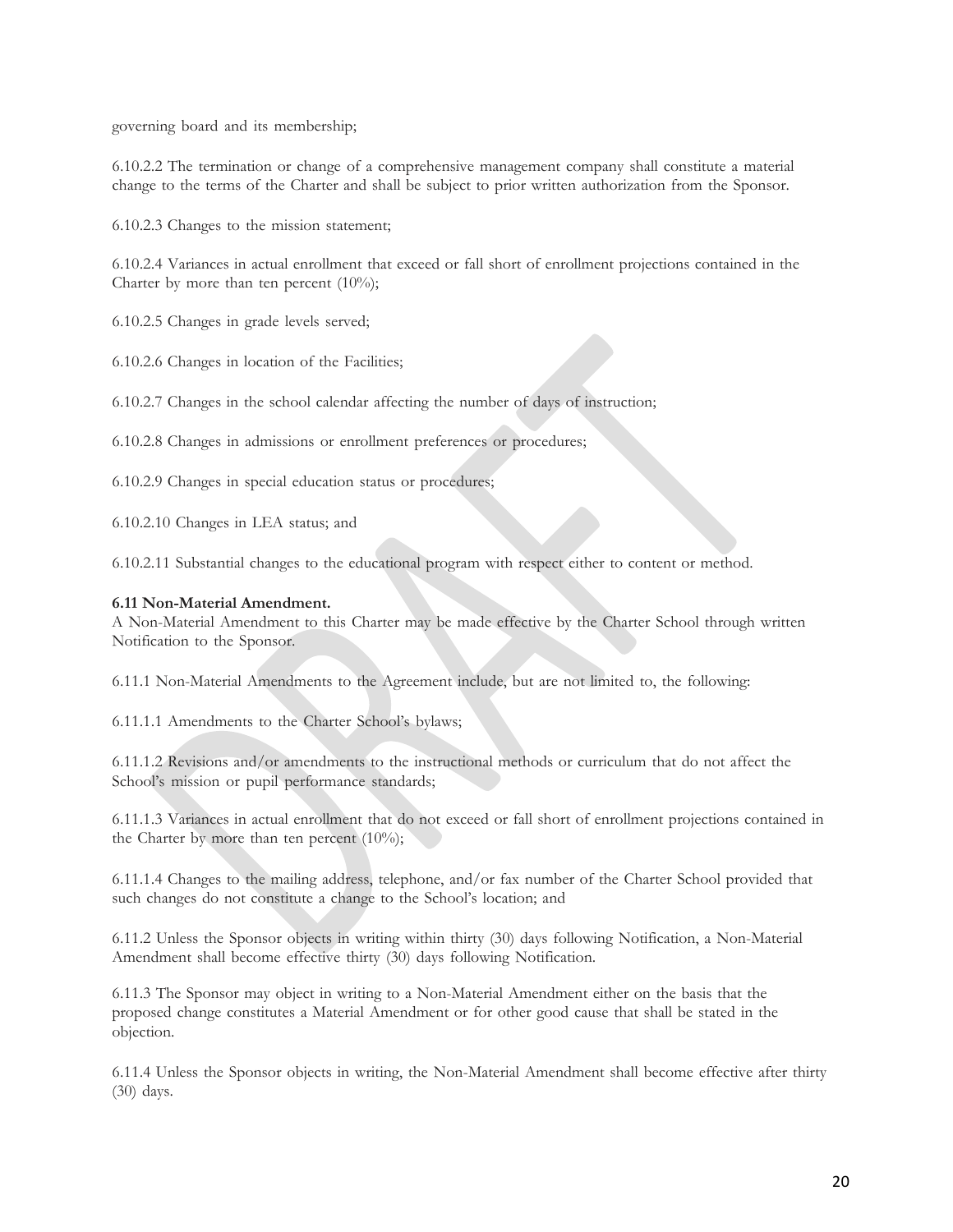governing board and its membership;

6.10.2.2 The termination or change of a comprehensive management company shall constitute a material change to the terms of the Charter and shall be subject to prior written authorization from the Sponsor.

6.10.2.3 Changes to the mission statement;

6.10.2.4 Variances in actual enrollment that exceed or fall short of enrollment projections contained in the Charter by more than ten percent  $(10\%)$ ;

6.10.2.5 Changes in grade levels served;

6.10.2.6 Changes in location of the Facilities;

6.10.2.7 Changes in the school calendar affecting the number of days of instruction;

6.10.2.8 Changes in admissions or enrollment preferences or procedures;

6.10.2.9 Changes in special education status or procedures;

6.10.2.10 Changes in LEA status; and

6.10.2.11 Substantial changes to the educational program with respect either to content or method.

### **6.11 Non-Material Amendment.**

A Non-Material Amendment to this Charter may be made effective by the Charter School through written Notification to the Sponsor.

6.11.1 Non-Material Amendments to the Agreement include, but are not limited to, the following:

6.11.1.1 Amendments to the Charter School's bylaws;

6.11.1.2 Revisions and/or amendments to the instructional methods or curriculum that do not affect the School's mission or pupil performance standards;

6.11.1.3 Variances in actual enrollment that do not exceed or fall short of enrollment projections contained in the Charter by more than ten percent (10%);

6.11.1.4 Changes to the mailing address, telephone, and/or fax number of the Charter School provided that such changes do not constitute a change to the School's location; and

6.11.2 Unless the Sponsor objects in writing within thirty (30) days following Notification, a Non-Material Amendment shall become effective thirty (30) days following Notification.

6.11.3 The Sponsor may object in writing to a Non-Material Amendment either on the basis that the proposed change constitutes a Material Amendment or for other good cause that shall be stated in the objection.

6.11.4 Unless the Sponsor objects in writing, the Non-Material Amendment shall become effective after thirty (30) days.